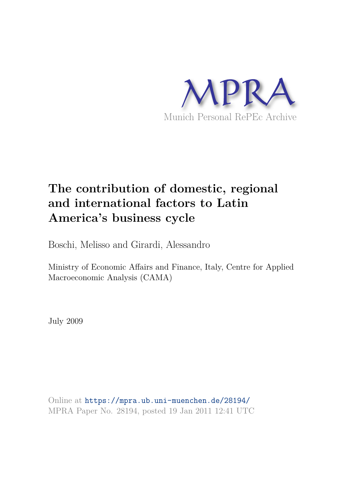

# **The contribution of domestic, regional and international factors to Latin America's business cycle**

Boschi, Melisso and Girardi, Alessandro

Ministry of Economic Affairs and Finance, Italy, Centre for Applied Macroeconomic Analysis (CAMA)

July 2009

Online at https://mpra.ub.uni-muenchen.de/28194/ MPRA Paper No. 28194, posted 19 Jan 2011 12:41 UTC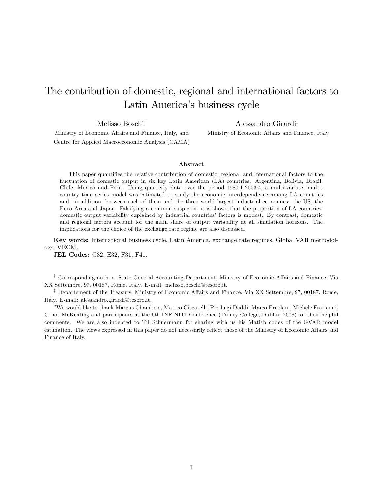## The contribution of domestic, regional and international factors to Latin America's business cycle

Melisso Boschi<sup>†</sup>

Alessandro Girardi<sup> $‡$ </sup>

Ministry of Economic Affairs and Finance, Italy, and Centre for Applied Macroeconomic Analysis (CAMA) Ministry of Economic Affairs and Finance, Italy

#### Abstract

This paper quantifies the relative contribution of domestic, regional and international factors to the fluctuation of domestic output in six key Latin American (LA) countries: Argentina, Bolivia, Brazil, Chile, Mexico and Peru. Using quarterly data over the period 1980:1-2003:4, a multi-variate, multicountry time series model was estimated to study the economic interdependence among LA countries and, in addition, between each of them and the three world largest industrial economies: the US, the Euro Area and Japan. Falsifying a common suspicion, it is shown that the proportion of LA countriesí domestic output variability explained by industrial countriesí factors is modest. By contrast, domestic and regional factors account for the main share of output variability at all simulation horizons. The implications for the choice of the exchange rate regime are also discussed.

Key words: International business cycle, Latin America, exchange rate regimes, Global VAR methodology, VECM.

JEL Codes: C32, E32, F31, F41.

<sup>†</sup> Corresponding author. State General Accounting Department, Ministry of Economic Affairs and Finance, Via XX Settembre, 97, 00187, Rome, Italy. E-mail: melisso.boschi@tesoro.it.

<sup>‡</sup> Departement of the Treasury, Ministry of Economic Affairs and Finance, Via XX Settembre, 97, 00187, Rome, Italy. E-mail: alessandro.girardi@tesoro.it.

We would like to thank Marcus Chambers, Matteo Ciccarelli, Pierluigi Daddi, Marco Ercolani, Michele Fratianni, Conor McKeating and participants at the 6th INFINITI Conference (Trinity College, Dublin, 2008) for their helpful comments. We are also indebted to Til Schuermann for sharing with us his Matlab codes of the GVAR model estimation. The views expressed in this paper do not necessarily reflect those of the Ministry of Economic Affairs and Finance of Italy.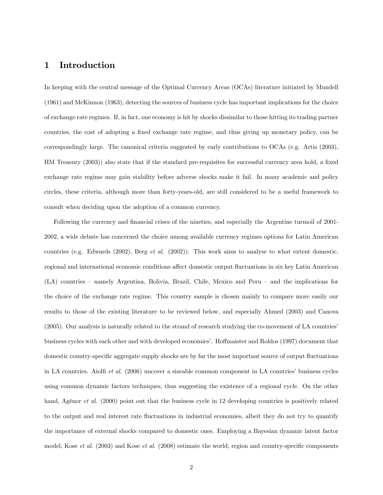### 1 Introduction

In keeping with the central message of the Optimal Currency Areas (OCAs) literature initiated by Mundell (1961) and McKinnon (1963), detecting the sources of business cycle has important implications for the choice of exchange rate regimes. If, in fact, one economy is hit by shocks dissimilar to those hitting its trading partner countries, the cost of adopting a fixed exchange rate regime, and thus giving up monetary policy, can be correspondingly large. The canonical criteria suggested by early contributions to OCAs (e.g. Artis (2003), HM Treasury (2003)) also state that if the standard pre-requisites for successful currency area hold, a fixed exchange rate regime may gain stability before adverse shocks make it fail. In many academic and policy circles, these criteria, although more than forty-years-old, are still considered to be a useful framework to consult when deciding upon the adoption of a common currency.

Following the currency and financial crises of the nineties, and especially the Argentine turmoil of 2001-2002, a wide debate has concerned the choice among available currency regimes options for Latin American countries (e.g. Edwards (2002), Berg et al. (2002)). This work aims to analyse to what extent domestic, regional and international economic conditions affect domestic output fluctuations in six key Latin American (LA) countries – namely Argentina, Bolivia, Brazil, Chile, Mexico and Peru – and the implications for the choice of the exchange rate regime. This country sample is chosen mainly to compare more easily our results to those of the existing literature to be reviewed below, and especially Ahmed (2003) and Canova (2005). Our analysis is naturally related to the strand of research studying the co-movement of LA countriesí business cycles with each other and with developed economies'. Hoffmaister and Roldos (1997) document that domestic country-specific aggregate supply shocks are by far the most important source of output fluctuations in LA countries. Aiolfi et al.  $(2006)$  uncover a sizeable common component in LA countries' business cycles using common dynamic factors techniques, thus suggesting the existence of a regional cycle. On the other hand, Agénor et al. (2000) point out that the business cycle in 12 developing countries is positively related to the output and real interest rate fluctuations in industrial economies, albeit they do not try to quantify the importance of external shocks compared to domestic ones. Employing a Bayesian dynamic latent factor model, Kose et al.  $(2003)$  and Kose et al.  $(2008)$  estimate the world, region and country-specific components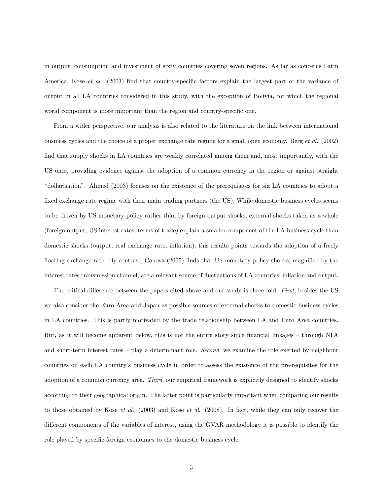in output, consumption and investment of sixty countries covering seven regions. As far as concerns Latin America, Kose *et al.* (2003) find that country-specific factors explain the largest part of the variance of output in all LA countries considered in this study, with the exception of Bolivia, for which the regional world component is more important than the region and country-specific one.

From a wider perspective, our analysis is also related to the literature on the link between international business cycles and the choice of a proper exchange rate regime for a small open economy. Berg et al. (2002) find that supply shocks in LA countries are weakly correlated among them and, most importantly, with the US ones, providing evidence against the adoption of a common currency in the region or against straight ìdollarisationî. Ahmed (2003) focuses on the existence of the prerequisites for six LA countries to adopt a fixed exchange rate regime with their main trading partners (the US). While domestic business cycles seems to be driven by US monetary policy rather than by foreign output shocks, external shocks taken as a whole (foreign output, US interest rates, terms of trade) explain a smaller component of the LA business cycle than domestic shocks (output, real exchange rate, ináation); this results points towards the adoption of a freely floating exchange rate. By contrast, Canova (2005) finds that US monetary policy shocks, magnified by the interest rates transmission channel, are a relevant source of fluctuations of LA countries' inflation and output.

The critical difference between the papers cited above and our study is three-fold. First, besides the US we also consider the Euro Area and Japan as possible sources of external shocks to domestic business cycles in LA countries. This is partly motivated by the trade relationship between LA and Euro Area countries. But, as it will become apparent below, this is not the entire story since financial linkages – through NFA and short-term interest rates  $-$  play a determinant role. Second, we examine the role exerted by neighbour countries on each LA countryís business cycle in order to assess the existence of the pre-requisites for the adoption of a common currency area. Third, our empirical framework is explicitly designed to identify shocks according to their geographical origin. The latter point is particularly important when comparing our results to those obtained by Kose et al. (2003) and Kose et al. (2008). In fact, while they can only recover the different components of the variables of interest, using the GVAR methodology it is possible to identify the role played by specific foreign economies to the domestic business cycle.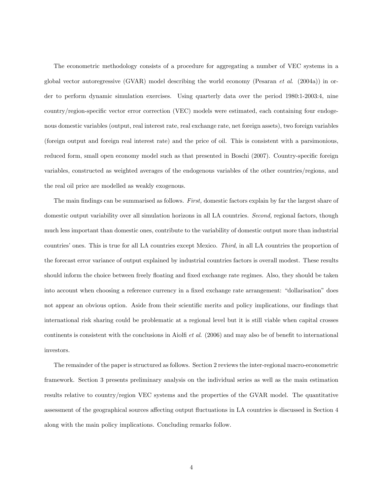The econometric methodology consists of a procedure for aggregating a number of VEC systems in a global vector autoregressive (GVAR) model describing the world economy (Pesaran et al. (2004a)) in order to perform dynamic simulation exercises. Using quarterly data over the period 1980:1-2003:4, nine country/region-specific vector error correction (VEC) models were estimated, each containing four endogenous domestic variables (output, real interest rate, real exchange rate, net foreign assets), two foreign variables (foreign output and foreign real interest rate) and the price of oil. This is consistent with a parsimonious, reduced form, small open economy model such as that presented in Boschi (2007). Country-specific foreign variables, constructed as weighted averages of the endogenous variables of the other countries/regions, and the real oil price are modelled as weakly exogenous.

The main findings can be summarised as follows. *First*, domestic factors explain by far the largest share of domestic output variability over all simulation horizons in all LA countries. Second, regional factors, though much less important than domestic ones, contribute to the variability of domestic output more than industrial countriesí ones. This is true for all LA countries except Mexico. Third, in all LA countries the proportion of the forecast error variance of output explained by industrial countries factors is overall modest. These results should inform the choice between freely floating and fixed exchange rate regimes. Also, they should be taken into account when choosing a reference currency in a fixed exchange rate arrangement: "dollarisation" does not appear an obvious option. Aside from their scientific merits and policy implications, our findings that international risk sharing could be problematic at a regional level but it is still viable when capital crosses continents is consistent with the conclusions in Aiolfi *et al.*  $(2006)$  and may also be of benefit to international investors.

The remainder of the paper is structured as follows. Section 2 reviews the inter-regional macro-econometric framework. Section 3 presents preliminary analysis on the individual series as well as the main estimation results relative to country/region VEC systems and the properties of the GVAR model. The quantitative assessment of the geographical sources affecting output fluctuations in LA countries is discussed in Section 4 along with the main policy implications. Concluding remarks follow.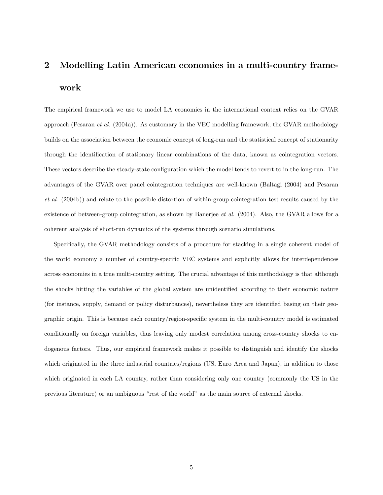# 2 Modelling Latin American economies in a multi-country framework

The empirical framework we use to model LA economies in the international context relies on the GVAR approach (Pesaran et al.  $(2004a)$ ). As customary in the VEC modelling framework, the GVAR methodology builds on the association between the economic concept of long-run and the statistical concept of stationarity through the identification of stationary linear combinations of the data, known as cointegration vectors. These vectors describe the steady-state configuration which the model tends to revert to in the long-run. The advantages of the GVAR over panel cointegration techniques are well-known (Baltagi (2004) and Pesaran et al. (2004b)) and relate to the possible distortion of within-group cointegration test results caused by the existence of between-group cointegration, as shown by Banerjee *et al.* (2004). Also, the GVAR allows for a coherent analysis of short-run dynamics of the systems through scenario simulations.

Specifically, the GVAR methodology consists of a procedure for stacking in a single coherent model of the world economy a number of country-specific VEC systems and explicitly allows for interdependences across economies in a true multi-country setting. The crucial advantage of this methodology is that although the shocks hitting the variables of the global system are unidentified according to their economic nature (for instance, supply, demand or policy disturbances), nevertheless they are identified basing on their geographic origin. This is because each country/region-specific system in the multi-country model is estimated conditionally on foreign variables, thus leaving only modest correlation among cross-country shocks to endogenous factors. Thus, our empirical framework makes it possible to distinguish and identify the shocks which originated in the three industrial countries/regions (US, Euro Area and Japan), in addition to those which originated in each LA country, rather than considering only one country (commonly the US in the previous literature) or an ambiguous "rest of the world" as the main source of external shocks.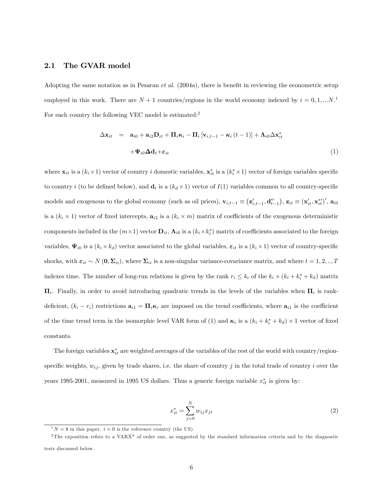#### 2.1 The GVAR model

Adopting the same notation as in Pesaran *et al.* (2004a), there is benefit in reviewing the econometric setup employed in this work. There are  $N+1$  countries/regions in the world economy indexed by  $i=0,1,...N$ <sup>1</sup> For each country the following VEC model is estimated:<sup>2</sup>

$$
\Delta \mathbf{x}_{it} = \mathbf{a}_{i0} + \mathbf{a}_{i2} \mathbf{D}_{it} + \mathbf{\Pi}_{i} \boldsymbol{\kappa}_{i} - \mathbf{\Pi}_{i} \left[ \mathbf{v}_{i,t-1} - \boldsymbol{\kappa}_{i} \left( t-1 \right) \right] + \boldsymbol{\Lambda}_{i0} \Delta \mathbf{x}_{it}^{*} + \boldsymbol{\Psi}_{i0} \Delta \mathbf{d}_{t} + \boldsymbol{\varepsilon}_{it}
$$
\n(1)

where  $\mathbf{x}_{it}$  is a  $(k_i \times 1)$  vector of country i domestic variables,  $\mathbf{x}_{it}^*$  is a  $(k_i^* \times 1)$  vector of foreign variables specific to country i (to be defined below), and  $\mathbf{d}_t$  is a  $(k_d \times 1)$  vector of  $I(1)$  variables common to all country-specific models and exogenous to the global economy (such as oil prices),  $\mathbf{v}_{i,t-1} \equiv (\mathbf{z}'_{i,t-1}, \mathbf{d}''_{t-1}), \mathbf{z}_{it} \equiv (\mathbf{x}'_{it}, \mathbf{x}^{*t}_{it})'$ ,  $\mathbf{a}_{i0}$ is a  $(k_i \times 1)$  vector of fixed intercepts,  $a_{i2}$  is a  $(k_i \times m)$  matrix of coefficients of the exogenous deterministic components included in the  $(m \times 1)$  vector  $D_{it}$ ,  $\Lambda_{i0}$  is a  $(k_i \times k_i^*)$  matrix of coefficients associated to the foreign variables,  $\Psi_{i0}$  is a  $(k_i \times k_d)$  vector associated to the global variables,  $\varepsilon_{it}$  is a  $(k_i \times 1)$  vector of country-specific shocks, with  $\varepsilon_{it} \sim N(0, \Sigma_{ii})$ , where  $\Sigma_{ii}$  is a non-singular variance-covariance matrix, and where  $t = 1, 2, ..., T$ indexes time. The number of long-run relations is given by the rank  $r_i \leq k_i$  of the  $k_i \times (k_i + k_i^* + k_d)$  matrix  $\Pi_i$ . Finally, in order to avoid introducing quadratic trends in the levels of the variables when  $\Pi_i$  is rankdeficient,  $(k_i - r_i)$  restrictions  $\mathbf{a}_{i1} = \mathbf{\Pi}_i \kappa_i$  are imposed on the trend coefficients, where  $\mathbf{a}_{i1}$  is the coefficient of the time trend term in the isomorphic level VAR form of (1) and  $\kappa_i$  is a  $(k_i + k_i^* + k_d) \times 1$  vector of fixed constants.

The foreign variables  $\mathbf{x}_{it}^{*}$  are weighted averages of the variables of the rest of the world with country/regionspecific weights,  $w_{ij}$ , given by trade shares, i.e. the share of country j in the total trade of country i over the years 1995-2001, measured in 1995 US dollars. Thus a generic foreign variable  $x_{it}^*$  is given by:

$$
x_{it}^{*} = \sum_{j=0}^{N} w_{ij} x_{jt}
$$
 (2)

 $1 N = 8$  in this paper.  $i = 0$  is the reference country (the US).

 $2$ The exposition refers to a VARX<sup>\*</sup> of order one, as suggested by the standard information criteria and by the diagnostic tests discussed below.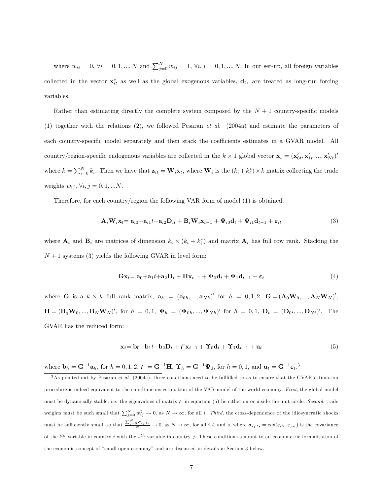where  $w_{ii} = 0, \forall i = 0, 1, ..., N$  and  $\sum_{j=0}^{N} w_{ij} = 1, \forall i, j = 0, 1, ..., N$ . In our set-up, all foreign variables collected in the vector  $\mathbf{x}_{it}^{*}$  as well as the global exogenous variables,  $\mathbf{d}_{t}$ , are treated as long-run forcing variables.

Rather than estimating directly the complete system composed by the  $N + 1$  country-specific models (1) together with the relations (2), we followed Pesaran et al. (2004a) and estimate the parameters of each country-specific model separately and then stack the coefficients estimates in a GVAR model. All country/region-specific endogenous variables are collected in the  $k \times 1$  global vector  $\mathbf{x}_t = (\mathbf{x}'_{0t}, \mathbf{x}'_{1t}, ..., \mathbf{x}'_{Nt})'$ where  $k = \sum_{i=0}^{N} k_i$ . Then we have that  $\mathbf{z}_{it} = \mathbf{W}_i \mathbf{x}_t$ , where  $\mathbf{W}_i$  is the  $(k_i + k_i^*) \times k$  matrix collecting the trade weights  $w_{ij}, \forall i, j = 0, 1, ...N$ .

Therefore, for each country/region the following VAR form of model (1) is obtained:

$$
\mathbf{A}_i \mathbf{W}_i \mathbf{x}_t = \mathbf{a}_{i0} + \mathbf{a}_{i1}t + \mathbf{a}_{i2} \mathbf{D}_{it} + \mathbf{B}_i \mathbf{W}_i \mathbf{x}_{t-1} + \mathbf{\Psi}_{i0} \mathbf{d}_t + \mathbf{\Psi}_{i1} \mathbf{d}_{t-1} + \varepsilon_{it}
$$
\n(3)

where  $\mathbf{A}_i$  and  $\mathbf{B}_i$  are matrices of dimension  $k_i \times (k_i + k_i^*)$  and matrix  $\mathbf{A}_i$  has full row rank. Stacking the  $N + 1$  systems (3) yields the following GVAR in level form:

$$
\mathbf{Gx}_{t} = \mathbf{a}_{0} + \mathbf{a}_{1}t + \mathbf{a}_{2}\mathbf{D}_{t} + \mathbf{H}\mathbf{x}_{t-1} + \Psi_{0}\mathbf{d}_{t} + \Psi_{1}\mathbf{d}_{t-1} + \varepsilon_{t}
$$
\n
$$
\tag{4}
$$

where G is a  $k \times k$  full rank matrix,  $\mathbf{a}_h = (\mathbf{a}_{0h}, ..., \mathbf{a}_{Nh})'$  for  $h = 0, 1, 2$ ,  $\mathbf{G} = (\mathbf{A}_0 \mathbf{W}_0, ..., \mathbf{A}_N \mathbf{W}_N)'$ ,  $\mathbf{H} = (\mathbf{B}_0 \mathbf{W}_0, ..., \mathbf{B}_N \mathbf{W}_N)'$ , for  $h = 0, 1, \Psi_h = (\Psi_{0h}, ..., \Psi_{Nh})'$  for  $h = 0, 1, \mathbf{D}_t = (\mathbf{D}_{0t}, ..., \mathbf{D}_{Nt})'$ . The GVAR has the reduced form:

$$
\mathbf{x}_{t} = \mathbf{b}_{0} + \mathbf{b}_{1}t + \mathbf{b}_{2}\mathbf{D}_{t} + F\mathbf{x}_{t-1} + \mathbf{\Upsilon}_{0}\mathbf{d}_{t} + \mathbf{\Upsilon}_{1}\mathbf{d}_{t-1} + \mathbf{u}_{t}
$$
\n
$$
\tag{5}
$$

where **, for**  $h = 0, 1, 2, F = **G**<sup>-1</sup>**H**$ **,**  $**Y**<sub>h</sub> = **G**<sup>-1</sup>**Ψ**<sub>0</sub>$ **, for**  $h = 0, 1$ **, and**  $**u**<sub>t</sub> = **G**<sup>-1</sup>**ε**<sub>t</sub>$ **<sup>3</sup>** 

 $3\text{As pointed out by Pesaran }et$  al. (2004a), three conditions need to be fullfilled so as to ensure that the GVAR estimation procedure is indeed equivalent to the simultaneous estimation of the VAR model of the world economy. First, the global model must be dynamically stable, i.e. the eigenvalues of matrix  $F$  in equation (5) lie either on or inside the unit circle. Second, trade weights must be such small that  $\sum_{j=0}^{N} w_{ij}^2 \to 0$ , as  $N \to \infty$ , for all i. Third, the cross-dependence of the idiosyncratic shocks must be sufficiently small, so that  $\frac{\sum_{j=0}^{N} \sigma_{ij,ls}}{N} \to 0$ , as  $N \to \infty$ , for all i, l, and s, where  $\sigma_{ij,ls} = cov(\varepsilon_{ilt}, \varepsilon_{jst})$  is the covariance of the  $l^{th}$  variable in country i with the  $s^{th}$  variable in country j. These conditions amount to an econometric formalisation of the economic concept of "small open economy" and are discussed in details in Section 3 below.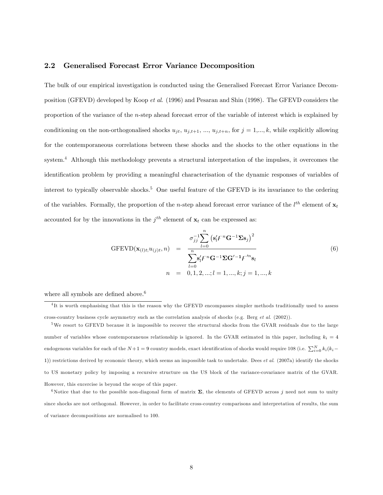#### 2.2 Generalised Forecast Error Variance Decomposition

The bulk of our empirical investigation is conducted using the Generalised Forecast Error Variance Decomposition (GFEVD) developed by Koop et al. (1996) and Pesaran and Shin (1998). The GFEVD considers the proportion of the variance of the n-step ahead forecast error of the variable of interest which is explained by conditioning on the non-orthogonalised shocks  $u_{jt}, u_{j,t+1}, ..., u_{j,t+n}$ , for  $j = 1,...,k$ , while explicitly allowing for the contemporaneous correlations between these shocks and the shocks to the other equations in the system.<sup>4</sup> Although this methodology prevents a structural interpretation of the impulses, it overcomes the identification problem by providing a meaningful characterisation of the dynamic responses of variables of interest to typically observable shocks.<sup>5</sup> One useful feature of the GFEVD is its invariance to the ordering of the variables. Formally, the proportion of the *n*-step ahead forecast error variance of the  $l^{th}$  element of  $\mathbf{x}_t$ accounted for by the innovations in the  $j^{th}$  element of  $\mathbf{x}_t$  can be expressed as:

$$
GFEVD(\mathbf{x}_{(l)t}; u_{(j)t}, n) = \frac{\sigma_{jj}^{-1} \sum_{l=0}^{n} (\mathbf{s}'_{l} F^{n} \mathbf{G}^{-1} \mathbf{\Sigma} \mathbf{s}_{j})^{2}}{\sum_{l=0}^{n} \mathbf{s}'_{l} F^{n} \mathbf{G}^{-1} \mathbf{\Sigma} \mathbf{G}'^{-1} F'^{n} \mathbf{s}_{l}}
$$
\n
$$
n = 0, 1, 2, ..., l = 1, ..., k; j = 1, ..., k
$$
\n(6)

where all symbols are defined above.<sup>6</sup>

<sup>&</sup>lt;sup>4</sup>It is worth emphasising that this is the reason why the GFEVD encompasses simpler methods traditionally used to assess cross-country business cycle asymmetry such as the correlation analysis of shocks (e.g. Berg et al. (2002)).

<sup>5</sup>We resort to GFEVD because it is impossible to recover the structural shocks from the GVAR residuals due to the large number of variables whose contemporaneuos relationship is ignored. In the GVAR estimated in this paper, including  $k_i = 4$ endogenous variables for each of the  $N+1=9$  country models, exact identification of shocks would require 108 (i.e.  $\sum_{i=0}^{N} k_i (k_i -$ 1)) restrictions derived by economic theory, which seems an impossible task to undertake. Dees et al. (2007a) identify the shocks to US monetary policy by imposing a recursive structure on the US block of the variance-covariance matrix of the GVAR. However, this excercise is beyond the scope of this paper.

<sup>&</sup>lt;sup>6</sup>Notice that due to the possible non-diagonal form of matrix  $\Sigma$ , the elements of GFEVD across j need not sum to unity since shocks are not orthogonal. However, in order to facilitate cross-country comparisons and interpretation of results, the sum of variance decompositions are normalised to 100.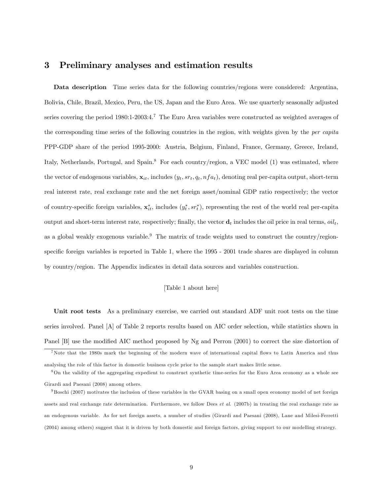### 3 Preliminary analyses and estimation results

Data description Time series data for the following countries/regions were considered: Argentina, Bolivia, Chile, Brazil, Mexico, Peru, the US, Japan and the Euro Area. We use quarterly seasonally adjusted series covering the period 1980:1-2003:4.<sup>7</sup> The Euro Area variables were constructed as weighted averages of the corresponding time series of the following countries in the region, with weights given by the per capital PPP-GDP share of the period 1995-2000: Austria, Belgium, Finland, France, Germany, Greece, Ireland, Italy, Netherlands, Portugal, and Spain.<sup>8</sup> For each country/region, a VEC model (1) was estimated, where the vector of endogenous variables,  $\mathbf{x}_{it}$ , includes  $(y_t, sr_t, q_t, nf_{at})$ , denoting real per-capita output, short-term real interest rate, real exchange rate and the net foreign asset/nominal GDP ratio respectively; the vector of country-specific foreign variables,  $\mathbf{x}_{it}^*$ , includes  $(y_t^*, s r_t^*)$ , representing the rest of the world real per-capita output and short-term interest rate, respectively; finally, the vector  $\mathbf{d}_t$  includes the oil price in real terms,  $oil_t$ , as a global weakly exogenous variable.<sup>9</sup> The matrix of trade weights used to construct the country/regionspecific foreign variables is reported in Table 1, where the 1995 - 2001 trade shares are displayed in column by country/region. The Appendix indicates in detail data sources and variables construction.

#### [Table 1 about here]

Unit root tests As a preliminary exercise, we carried out standard ADF unit root tests on the time series involved. Panel [A] of Table 2 reports results based on AIC order selection, while statistics shown in Panel [B] use the modified AIC method proposed by Ng and Perron (2001) to correct the size distortion of

<sup>7</sup>Note that the 1980s mark the beginning of the modern wave of international capital áows to Latin America and thus analysing the role of this factor in domestic business cycle prior to the sample start makes little sense.

<sup>&</sup>lt;sup>8</sup>On the validity of the aggregating expedient to construct synthetic time-series for the Euro Area economy as a whole see Girardi and Paesani (2008) among others.

 $9$ Boschi (2007) motivates the inclusion of these variables in the GVAR basing on a small open economy model of net foreign assets and real exchange rate determination. Furthermore, we follow Dees *et al.* (2007b) in treating the real exchange rate as an endogenous variable. As for net foreign assets, a number of studies (Girardi and Paesani (2008), Lane and Milesi-Ferretti (2004) among others) suggest that it is driven by both domestic and foreign factors, giving support to our modelling strategy.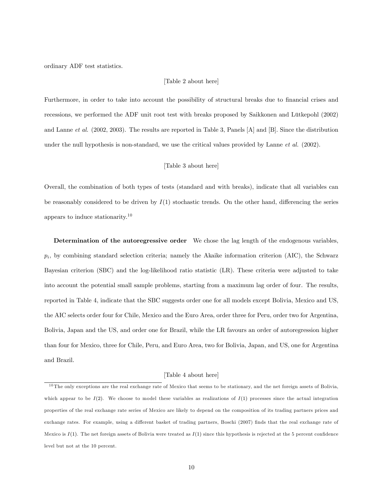ordinary ADF test statistics.

#### [Table 2 about here]

Furthermore, in order to take into account the possibility of structural breaks due to financial crises and recessions, we performed the ADF unit root test with breaks proposed by Saikkonen and Lütkepohl (2002) and Lanne et al. (2002, 2003). The results are reported in Table 3, Panels [A] and [B]. Since the distribution under the null hypothesis is non-standard, we use the critical values provided by Lanne *et al.* (2002).

#### [Table 3 about here]

Overall, the combination of both types of tests (standard and with breaks), indicate that all variables can be reasonably considered to be driven by  $I(1)$  stochastic trends. On the other hand, differencing the series appears to induce stationarity.<sup>10</sup>

Determination of the autoregressive order We chose the lag length of the endogenous variables,  $p_i$ , by combining standard selection criteria; namely the Akaike information criterion (AIC), the Schwarz Bayesian criterion (SBC) and the log-likelihood ratio statistic (LR). These criteria were adjusted to take into account the potential small sample problems, starting from a maximum lag order of four. The results, reported in Table 4, indicate that the SBC suggests order one for all models except Bolivia, Mexico and US, the AIC selects order four for Chile, Mexico and the Euro Area, order three for Peru, order two for Argentina, Bolivia, Japan and the US, and order one for Brazil, while the LR favours an order of autoregression higher than four for Mexico, three for Chile, Peru, and Euro Area, two for Bolivia, Japan, and US, one for Argentina and Brazil.

#### [Table 4 about here]

 $10$  The only exceptions are the real exchange rate of Mexico that seems to be stationary, and the net foreign assets of Bolivia, which appear to be  $I(2)$ . We choose to model these variables as realizations of  $I(1)$  processes since the actual integration properties of the real exchange rate series of Mexico are likely to depend on the composition of its trading partners prices and exchange rates. For example, using a different basket of trading partners, Boschi (2007) finds that the real exchange rate of Mexico is  $I(1)$ . The net foreign assets of Bolivia were treated as  $I(1)$  since this hypothesis is rejected at the 5 percent confidence level but not at the 10 percent.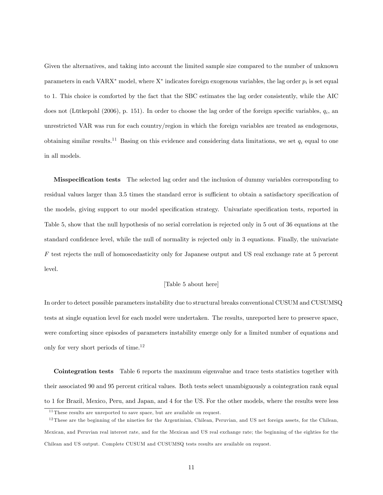Given the alternatives, and taking into account the limited sample size compared to the number of unknown parameters in each VARX<sup>\*</sup> model, where  $X^*$  indicates foreign exogenous variables, the lag order  $p_i$  is set equal to 1. This choice is comforted by the fact that the SBC estimates the lag order consistently, while the AIC does not (Lütkepohl (2006), p. 151). In order to choose the lag order of the foreign specific variables,  $q_i$ , an unrestricted VAR was run for each country/region in which the foreign variables are treated as endogenous, obtaining similar results.<sup>11</sup> Basing on this evidence and considering data limitations, we set  $q_i$  equal to one in all models.

Misspecification tests The selected lag order and the inclusion of dummy variables corresponding to residual values larger than 3.5 times the standard error is sufficient to obtain a satisfactory specification of the models, giving support to our model specification strategy. Univariate specification tests, reported in Table 5, show that the null hypothesis of no serial correlation is rejected only in 5 out of 36 equations at the standard confidence level, while the null of normality is rejected only in 3 equations. Finally, the univariate F test rejects the null of homoscedasticity only for Japanese output and US real exchange rate at 5 percent level.

#### [Table 5 about here]

In order to detect possible parameters instability due to structural breaks conventional CUSUM and CUSUMSQ tests at single equation level for each model were undertaken. The results, unreported here to preserve space, were comforting since episodes of parameters instability emerge only for a limited number of equations and only for very short periods of time.<sup>12</sup>

Cointegration tests Table 6 reports the maximum eigenvalue and trace tests statistics together with their associated 90 and 95 percent critical values. Both tests select unambiguously a cointegration rank equal to 1 for Brazil, Mexico, Peru, and Japan, and 4 for the US. For the other models, where the results were less

 $11$ These results are unreported to save space, but are available on request.

<sup>&</sup>lt;sup>12</sup> These are the beginning of the nineties for the Argentinian, Chilean, Peruvian, and US net foreign assets, for the Chilean, Mexican, and Peruvian real interest rate, and for the Mexican and US real exchange rate; the beginning of the eighties for the Chilean and US output. Complete CUSUM and CUSUMSQ tests results are available on request.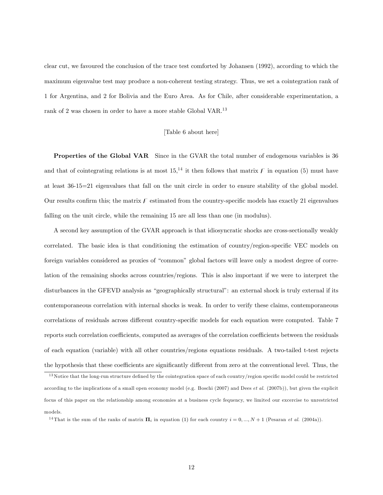clear cut, we favoured the conclusion of the trace test comforted by Johansen (1992), according to which the maximum eigenvalue test may produce a non-coherent testing strategy. Thus, we set a cointegration rank of 1 for Argentina, and 2 for Bolivia and the Euro Area. As for Chile, after considerable experimentation, a rank of 2 was chosen in order to have a more stable Global VAR.<sup>13</sup>

#### [Table 6 about here]

Properties of the Global VAR Since in the GVAR the total number of endogenous variables is 36 and that of cointegrating relations is at most  $15^{14}$  it then follows that matrix F in equation (5) must have at least 36-15=21 eigenvalues that fall on the unit circle in order to ensure stability of the global model. Our results confirm this; the matrix  $\bar{F}$  estimated from the country-specific models has exactly 21 eigenvalues falling on the unit circle, while the remaining 15 are all less than one (in modulus).

A second key assumption of the GVAR approach is that idiosyncratic shocks are cross-sectionally weakly correlated. The basic idea is that conditioning the estimation of country/region-specific VEC models on foreign variables considered as proxies of "common" global factors will leave only a modest degree of correlation of the remaining shocks across countries/regions. This is also important if we were to interpret the disturbances in the GFEVD analysis as "geographically structural": an external shock is truly external if its contemporaneous correlation with internal shocks is weak. In order to verify these claims, contemporaneous correlations of residuals across different country-specific models for each equation were computed. Table 7 reports such correlation coefficients, computed as averages of the correlation coefficients between the residuals of each equation (variable) with all other countries/regions equations residuals. A two-tailed t-test rejects the hypothesis that these coefficients are significantly different from zero at the conventional level. Thus, the

<sup>&</sup>lt;sup>13</sup> Notice that the long-run structure defined by the cointegration space of each country/region specific model could be restricted according to the implications of a small open economy model (e.g. Boschi (2007) and Dees et al. (2007b)), but given the explicit focus of this paper on the relationship among economies at a business cycle fequency, we limited our excercise to unrestricted models.

<sup>&</sup>lt;sup>14</sup>That is the sum of the ranks of matrix  $\Pi_i$  in equation (1) for each country  $i = 0, ..., N + 1$  (Pesaran *et al.* (2004a)).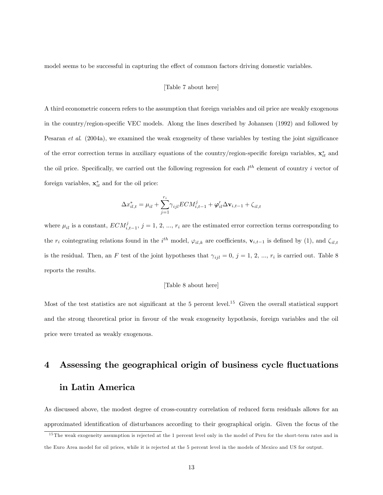model seems to be successful in capturing the effect of common factors driving domestic variables.

#### [Table 7 about here]

A third econometric concern refers to the assumption that foreign variables and oil price are weakly exogenous in the country/region-specific VEC models. Along the lines described by Johansen (1992) and followed by Pesaran *et al.* (2004a), we examined the weak exogeneity of these variables by testing the joint significance of the error correction terms in auxiliary equations of the country/region-specific foreign variables,  $\mathbf{x}_{it}^{*}$  and the oil price. Specifically, we carried out the following regression for each  $l^{th}$  element of country i vector of foreign variables,  $\mathbf{x}_{it}^*$  and for the oil price:

$$
\Delta x_{il,t}^* = \mu_{il} + \sum_{j=1}^{r_i} \gamma_{ijl} ECM_{i,t-1}^j + \varphi_{il}' \Delta \mathbf{v}_{i,t-1} + \zeta_{il,t}
$$

where  $\mu_{il}$  is a constant,  $ECM_{i,t-1}^j$ ,  $j = 1, 2, ..., r_i$  are the estimated error correction terms corresponding to the  $r_i$  cointegrating relations found in the i<sup>th</sup> model,  $\varphi_{il,k}$  are coefficients,  $\mathbf{v}_{i,t-1}$  is defined by (1), and  $\zeta_{il,t}$ is the residual. Then, an F test of the joint hypotheses that  $\gamma_{ijl} = 0, j = 1, 2, ..., r_i$  is carried out. Table 8 reports the results.

#### [Table 8 about here]

Most of the test statistics are not significant at the 5 percent level.<sup>15</sup> Given the overall statistical support and the strong theoretical prior in favour of the weak exogeneity hypothesis, foreign variables and the oil price were treated as weakly exogenous.

# 4 Assessing the geographical origin of business cycle fluctuations in Latin America

As discussed above, the modest degree of cross-country correlation of reduced form residuals allows for an approximated identification of disturbances according to their geographical origin. Given the focus of the

<sup>&</sup>lt;sup>15</sup>The weak exogeneity assumption is rejected at the 1 percent level only in the model of Peru for the short-term rates and in the Euro Area model for oil prices, while it is rejected at the 5 percent level in the models of Mexico and US for output.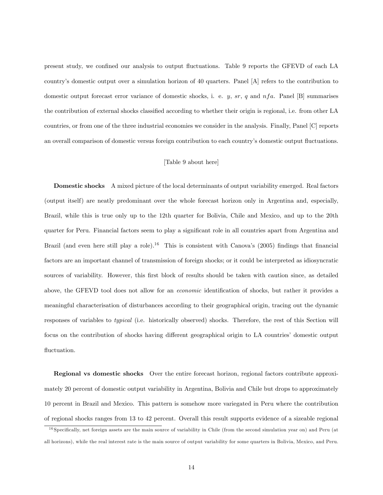present study, we confined our analysis to output fluctuations. Table 9 reports the GFEVD of each LA countryís domestic output over a simulation horizon of 40 quarters. Panel [A] refers to the contribution to domestic output forecast error variance of domestic shocks, i. e.  $y$ ,  $sr$ ,  $q$  and  $nfa$ . Panel [B] summarises the contribution of external shocks classified according to whether their origin is regional, i.e. from other LA countries, or from one of the three industrial economies we consider in the analysis. Finally, Panel [C] reports an overall comparison of domestic versus foreign contribution to each country's domestic output fluctuations.

#### [Table 9 about here]

Domestic shocks A mixed picture of the local determinants of output variability emerged. Real factors (output itself) are neatly predominant over the whole forecast horizon only in Argentina and, especially, Brazil, while this is true only up to the 12th quarter for Bolivia, Chile and Mexico, and up to the 20th quarter for Peru. Financial factors seem to play a significant role in all countries apart from Argentina and Brazil (and even here still play a role).<sup>16</sup> This is consistent with Canova's (2005) findings that financial factors are an important channel of transmission of foreign shocks; or it could be interpreted as idiosyncratic sources of variability. However, this first block of results should be taken with caution since, as detailed above, the GFEVD tool does not allow for an *economic* identification of shocks, but rather it provides a meaningful characterisation of disturbances according to their geographical origin, tracing out the dynamic responses of variables to typical (i.e. historically observed) shocks. Therefore, the rest of this Section will focus on the contribution of shocks having different geographical origin to LA countries' domestic output fluctuation.

Regional vs domestic shocks Over the entire forecast horizon, regional factors contribute approximately 20 percent of domestic output variability in Argentina, Bolivia and Chile but drops to approximately 10 percent in Brazil and Mexico. This pattern is somehow more variegated in Peru where the contribution of regional shocks ranges from 13 to 42 percent. Overall this result supports evidence of a sizeable regional

 $16$  Specifically, net foreign assets are the main source of variability in Chile (from the second simulation year on) and Peru (at all horizons), while the real interest rate is the main source of output variability for some quarters in Bolivia, Mexico, and Peru.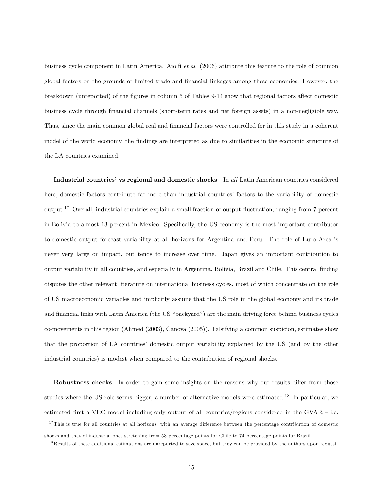business cycle component in Latin America. Aiolfi et al. (2006) attribute this feature to the role of common global factors on the grounds of limited trade and financial linkages among these economies. However, the breakdown (unreported) of the figures in column 5 of Tables 9-14 show that regional factors affect domestic business cycle through Önancial channels (short-term rates and net foreign assets) in a non-negligible way. Thus, since the main common global real and financial factors were controlled for in this study in a coherent model of the world economy, the findings are interpreted as due to similarities in the economic structure of the LA countries examined.

Industrial countries' vs regional and domestic shocks In all Latin American countries considered here, domestic factors contribute far more than industrial countriesí factors to the variability of domestic output.<sup>17</sup> Overall, industrial countries explain a small fraction of output fluctuation, ranging from  $7$  percent in Bolivia to almost 13 percent in Mexico. Specifically, the US economy is the most important contributor to domestic output forecast variability at all horizons for Argentina and Peru. The role of Euro Area is never very large on impact, but tends to increase over time. Japan gives an important contribution to output variability in all countries, and especially in Argentina, Bolivia, Brazil and Chile. This central Önding disputes the other relevant literature on international business cycles, most of which concentrate on the role of US macroeconomic variables and implicitly assume that the US role in the global economy and its trade and financial links with Latin America (the US "backyard") are the main driving force behind business cycles co-movements in this region (Ahmed (2003), Canova (2005)). Falsifying a common suspicion, estimates show that the proportion of LA countriesí domestic output variability explained by the US (and by the other industrial countries) is modest when compared to the contribution of regional shocks.

Robustness checks In order to gain some insights on the reasons why our results differ from those studies where the US role seems bigger, a number of alternative models were estimated.<sup>18</sup> In particular, we estimated first a VEC model including only output of all countries/regions considered in the GVAR  $-$  i.e.

 $17$  This is true for all countries at all horizons, with an average difference between the percentage contribution of domestic shocks and that of industrial ones stretching from 53 percentage points for Chile to 74 percentage points for Brazil.

<sup>&</sup>lt;sup>18</sup>Results of these additional estimations are unreported to save space, but they can be provided by the authors upon request.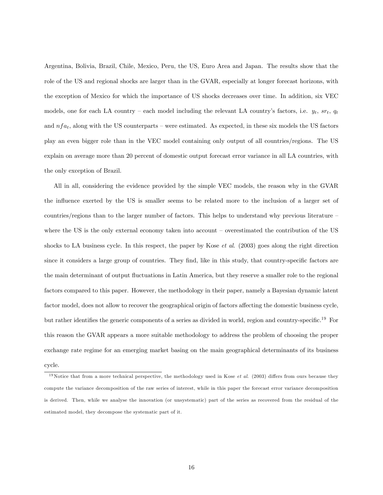Argentina, Bolivia, Brazil, Chile, Mexico, Peru, the US, Euro Area and Japan. The results show that the role of the US and regional shocks are larger than in the GVAR, especially at longer forecast horizons, with the exception of Mexico for which the importance of US shocks decreases over time. In addition, six VEC models, one for each LA country – each model including the relevant LA country's factors, i.e.  $y_t$ ,  $sr_t$ ,  $q_t$ and  $nfa_t$ , along with the US counterparts – were estimated. As expected, in these six models the US factors play an even bigger role than in the VEC model containing only output of all countries/regions. The US explain on average more than 20 percent of domestic output forecast error variance in all LA countries, with the only exception of Brazil.

All in all, considering the evidence provided by the simple VEC models, the reason why in the GVAR the ináuence exerted by the US is smaller seems to be related more to the inclusion of a larger set of countries/regions than to the larger number of factors. This helps to understand why previous literature  $-\frac{1}{2}$ where the US is the only external economy taken into account  $-$  overestimated the contribution of the US shocks to LA business cycle. In this respect, the paper by Kose et al. (2003) goes along the right direction since it considers a large group of countries. They find, like in this study, that country-specific factors are the main determinant of output fluctuations in Latin America, but they reserve a smaller role to the regional factors compared to this paper. However, the methodology in their paper, namely a Bayesian dynamic latent factor model, does not allow to recover the geographical origin of factors affecting the domestic business cycle, but rather identifies the generic components of a series as divided in world, region and country-specific.<sup>19</sup> For this reason the GVAR appears a more suitable methodology to address the problem of choosing the proper exchange rate regime for an emerging market basing on the main geographical determinants of its business cycle.

<sup>&</sup>lt;sup>19</sup>Notice that from a more technical perspective, the methodology used in Kose *et al.* (2003) differs from ours because they compute the variance decomposition of the raw series of interest, while in this paper the forecast error variance decomposition is derived. Then, while we analyse the innovation (or unsystematic) part of the series as recovered from the residual of the estimated model, they decompose the systematic part of it.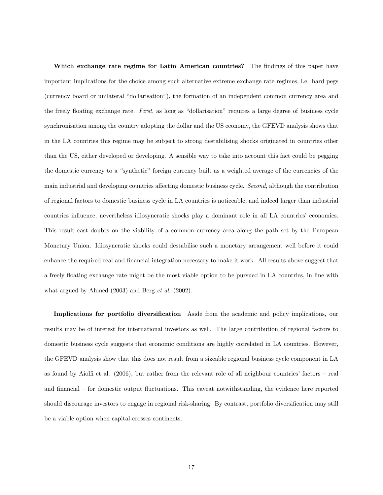Which exchange rate regime for Latin American countries? The findings of this paper have important implications for the choice among such alternative extreme exchange rate regimes, i.e. hard pegs (currency board or unilateral "dollarisation"), the formation of an independent common currency area and the freely floating exchange rate. First, as long as "dollarisation" requires a large degree of business cycle synchronisation among the country adopting the dollar and the US economy, the GFEVD analysis shows that in the LA countries this regime may be subject to strong destabilising shocks originated in countries other than the US, either developed or developing. A sensible way to take into account this fact could be pegging the domestic currency to a "synthetic" foreign currency built as a weighted average of the currencies of the main industrial and developing countries affecting domestic business cycle. Second, although the contribution of regional factors to domestic business cycle in LA countries is noticeable, and indeed larger than industrial countries influence, nevertheless idiosyncratic shocks play a dominant role in all LA countries' economies. This result cast doubts on the viability of a common currency area along the path set by the European Monetary Union. Idiosyncratic shocks could destabilise such a monetary arrangement well before it could enhance the required real and Önancial integration necessary to make it work. All results above suggest that a freely floating exchange rate might be the most viable option to be pursued in LA countries, in line with what argued by Ahmed (2003) and Berg et al. (2002).

Implications for portfolio diversification Aside from the academic and policy implications, our results may be of interest for international investors as well. The large contribution of regional factors to domestic business cycle suggests that economic conditions are highly correlated in LA countries. However, the GFEVD analysis show that this does not result from a sizeable regional business cycle component in LA as found by Aiolfi et al.  $(2006)$ , but rather from the relevant role of all neighbour countries' factors – real and financial – for domestic output fluctuations. This caveat notwithstanding, the evidence here reported should discourage investors to engage in regional risk-sharing. By contrast, portfolio diversification may still be a viable option when capital crosses continents.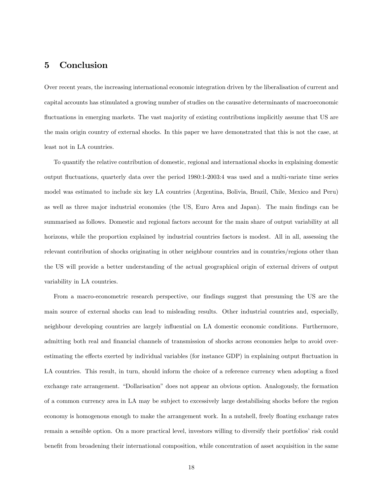## 5 Conclusion

Over recent years, the increasing international economic integration driven by the liberalisation of current and capital accounts has stimulated a growing number of studies on the causative determinants of macroeconomic fluctuations in emerging markets. The vast majority of existing contributions implicitly assume that US are the main origin country of external shocks. In this paper we have demonstrated that this is not the case, at least not in LA countries.

To quantify the relative contribution of domestic, regional and international shocks in explaining domestic output fluctuations, quarterly data over the period 1980:1-2003:4 was used and a multi-variate time series model was estimated to include six key LA countries (Argentina, Bolivia, Brazil, Chile, Mexico and Peru) as well as three major industrial economies (the US, Euro Area and Japan). The main findings can be summarised as follows. Domestic and regional factors account for the main share of output variability at all horizons, while the proportion explained by industrial countries factors is modest. All in all, assessing the relevant contribution of shocks originating in other neighbour countries and in countries/regions other than the US will provide a better understanding of the actual geographical origin of external drivers of output variability in LA countries.

From a macro-econometric research perspective, our findings suggest that presuming the US are the main source of external shocks can lead to misleading results. Other industrial countries and, especially, neighbour developing countries are largely influential on LA domestic economic conditions. Furthermore, admitting both real and financial channels of transmission of shocks across economies helps to avoid overestimating the effects exerted by individual variables (for instance GDP) in explaining output fluctuation in LA countries. This result, in turn, should inform the choice of a reference currency when adopting a fixed exchange rate arrangement. "Dollarisation" does not appear an obvious option. Analogously, the formation of a common currency area in LA may be subject to excessively large destabilising shocks before the region economy is homogenous enough to make the arrangement work. In a nutshell, freely floating exchange rates remain a sensible option. On a more practical level, investors willing to diversify their portfolios' risk could benefit from broadening their international composition, while concentration of asset acquisition in the same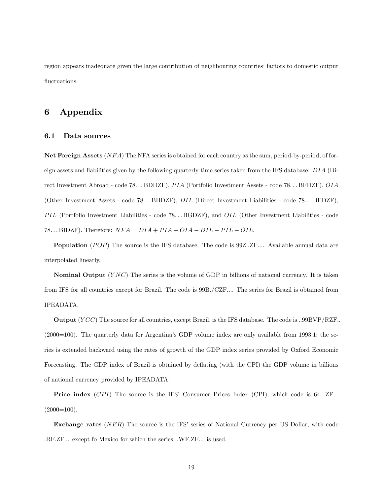region appears inadequate given the large contribution of neighbouring countries' factors to domestic output fluctuations.

## 6 Appendix

#### 6.1 Data sources

Net Foreign Assets  $(NFA)$  The NFA series is obtained for each country as the sum, period-by-period, of foreign assets and liabilities given by the following quarterly time series taken from the IFS database: DIA (Direct Investment Abroad - code 78... BDDZF), PIA (Portfolio Investment Assets - code 78... BFDZF), OIA (Other Investment Assets - code 78... BHDZF), DIL (Direct Investment Liabilities - code 78... BEDZF), PIL (Portfolio Investment Liabilities - code 78...BGDZF), and OIL (Other Investment Liabilities - code 78...BIDZF). Therefore:  $NFA = DIA + PIA + OIA - DIL - PIL - OIL$ .

**Population** (POP) The source is the IFS database. The code is 99Z..ZF.... Available annual data are interpolated linearly.

**Nominal Output**  $(YNC)$  The series is the volume of GDP in billions of national currency. It is taken from IFS for all countries except for Brazil. The code is 99B./CZF.... The series for Brazil is obtained from IPEADATA.

**Output**  $(YCC)$  The source for all countries, except Brazil, is the IFS database. The code is ..99BVP/RZF.. (2000=100). The quarterly data for Argentinaís GDP volume index are only available from 1993:1; the series is extended backward using the rates of growth of the GDP index series provided by Oxford Economic Forecasting. The GDP index of Brazil is obtained by deflating (with the CPI) the GDP volume in billions of national currency provided by IPEADATA.

**Price index**  $(CPI)$  The source is the IFS' Consumer Prices Index (CPI), which code is 64... $ZF$ ...  $(2000=100)$ .

Exchange rates (NER) The source is the IFS' series of National Currency per US Dollar, with code .RF.ZF... except fo Mexico for which the series ..WF.ZF... is used.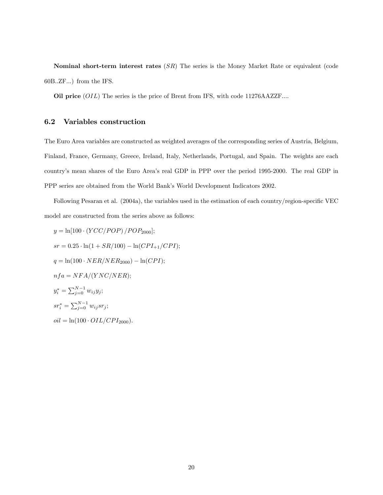**Nominal short-term interest rates**  $(SR)$  The series is the Money Market Rate or equivalent (code 60B..ZF...) from the IFS.

Oil price  $(OIL)$  The series is the price of Brent from IFS, with code 11276AAZZF....

#### 6.2 Variables construction

The Euro Area variables are constructed as weighted averages of the corresponding series of Austria, Belgium, Finland, France, Germany, Greece, Ireland, Italy, Netherlands, Portugal, and Spain. The weights are each countryís mean shares of the Euro Areaís real GDP in PPP over the period 1995-2000. The real GDP in PPP series are obtained from the World Bank's World Development Indicators 2002.

Following Pesaran et al.  $(2004a)$ , the variables used in the estimation of each country/region-specific VEC model are constructed from the series above as follows:

 $y = \ln[100 \cdot (YCC/POP) / POP_{2000}];$  $sr = 0.25 \cdot \ln(1 + SR/100) - \ln(CPI_{+1}/CPI);$  $q = \ln(100 \cdot NER/NER_{2000}) - \ln(CPI);$  $nfa = NFA/(YNC/NER);$  $y_i^* = \sum_{j=0}^{N-1} w_{ij} y_j;$  $sr_i^* = \sum_{j=0}^{N-1} w_{ij}sr_j;$  $oil = \ln(100 \cdot OIL/CPI_{2000}).$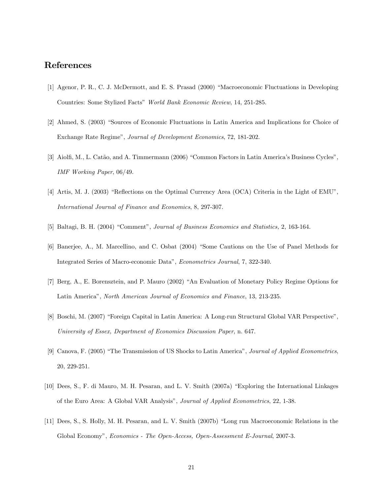## References

- [1] Agenor, P. R., C. J. McDermott, and E. S. Prasad (2000) "Macroeconomic Fluctuations in Developing Countries: Some Stylized Factsî World Bank Economic Review, 14, 251-285.
- [2] Ahmed, S. (2003) "Sources of Economic Fluctuations in Latin America and Implications for Choice of Exchange Rate Regime", Journal of Development Economics, 72, 181-202.
- [3] Aiolfi, M., L. Catão, and A. Timmermann (2006) "Common Factors in Latin America's Business Cycles". IMF Working Paper, 06/49.
- [4] Artis, M. J. (2003) "Reflections on the Optimal Currency Area (OCA) Criteria in the Light of EMU", International Journal of Finance and Economics, 8, 297-307.
- [5] Baltagi, B. H. (2004) "Comment", Journal of Business Economics and Statistics, 2, 163-164.
- [6] Banerjee, A., M. Marcellino, and C. Osbat (2004) "Some Cautions on the Use of Panel Methods for Integrated Series of Macro-economic Dataî, Econometrics Journal, 7, 322-340.
- [7] Berg, A., E. Borensztein, and P. Mauro (2002) "An Evaluation of Monetary Policy Regime Options for Latin Americaî, North American Journal of Economics and Finance, 13, 213-235.
- [8] Boschi, M. (2007) "Foreign Capital in Latin America: A Long-run Structural Global VAR Perspective", University of Essex, Department of Economics Discussion Paper, n. 647.
- [9] Canova, F. (2005) "The Transmission of US Shocks to Latin America", Journal of Applied Econometrics, 20, 229-251.
- [10] Dees, S., F. di Mauro, M. H. Pesaran, and L. V. Smith (2007a) "Exploring the International Linkages of the Euro Area: A Global VAR Analysis", Journal of Applied Econometrics, 22, 1-38.
- [11] Dees, S., S. Holly, M. H. Pesaran, and L. V. Smith (2007b) "Long run Macroeconomic Relations in the Global Economy", Economics - The Open-Access, Open-Assessment E-Journal, 2007-3.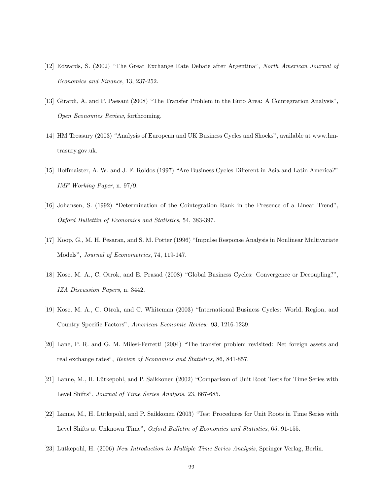- [12] Edwards, S. (2002) "The Great Exchange Rate Debate after Argentina", North American Journal of Economics and Finance, 13, 237-252.
- [13] Girardi, A. and P. Paesani (2008) "The Transfer Problem in the Euro Area: A Cointegration Analysis", Open Economies Review, forthcoming.
- [14] HM Treasury (2003) "Analysis of European and UK Business Cycles and Shocks", available at www.hmtrasury.gov.uk.
- [15] Hoffmaister, A. W. and J. F. Roldos (1997) "Are Business Cycles Different in Asia and Latin America?" IMF Working Paper, n. 97/9.
- [16] Johansen, S. (1992) "Determination of the Cointegration Rank in the Presence of a Linear Trend", Oxford Bullettin of Economics and Statistics, 54, 383-397.
- [17] Koop, G., M. H. Pesaran, and S. M. Potter (1996) "Impulse Response Analysis in Nonlinear Multivariate Modelsî, Journal of Econometrics, 74, 119-147.
- [18] Kose, M. A., C. Otrok, and E. Prasad (2008) "Global Business Cycles: Convergence or Decoupling?", IZA Discussion Papers, n. 3442.
- [19] Kose, M. A., C. Otrok, and C. Whiteman (2003) "International Business Cycles: World, Region, and Country Specific Factors", American Economic Review, 93, 1216-1239.
- [20] Lane, P. R. and G. M. Milesi-Ferretti (2004) "The transfer problem revisited: Net foreign assets and real exchange rates", Review of Economics and Statistics, 86, 841-857.
- [21] Lanne, M., H. Lütkepohl, and P. Saikkonen (2002) "Comparison of Unit Root Tests for Time Series with Level Shifts", *Journal of Time Series Analysis*, 23, 667-685.
- [22] Lanne, M., H. Lütkepohl, and P. Saikkonen (2003) "Test Procedures for Unit Roots in Time Series with Level Shifts at Unknown Time", Oxford Bulletin of Economics and Statistics, 65, 91-155.
- [23] Lütkepohl, H. (2006) New Introduction to Multiple Time Series Analysis, Springer Verlag, Berlin.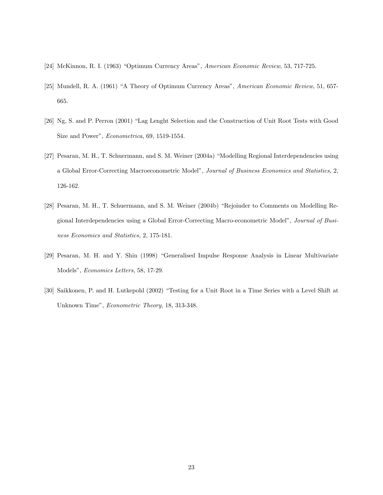- [24] McKinnon, R. I. (1963) "Optimum Currency Areas", American Economic Review, 53, 717-725.
- [25] Mundell, R. A. (1961) "A Theory of Optimum Currency Areas", American Economic Review, 51, 657-665.
- [26] Ng, S. and P. Perron (2001) "Lag Lenght Selection and the Construction of Unit Root Tests with Good Size and Power", *Econometrica*, 69, 1519-1554.
- [27] Pesaran, M. H., T. Schuermann, and S. M. Weiner (2004a) "Modelling Regional Interdependencies using a Global Error-Correcting Macroeconometric Model", Journal of Business Economics and Statistics, 2, 126-162.
- [28] Pesaran, M. H., T. Schuermann, and S. M. Weiner (2004b) "Rejoinder to Comments on Modelling Regional Interdependencies using a Global Error-Correcting Macro-econometric Modelî, Journal of Business Economics and Statistics, 2, 175-181.
- [29] Pesaran, M. H. and Y. Shin (1998) "Generalised Impulse Response Analysis in Linear Multivariate Models", Economics Letters, 58, 17-29.
- [30] Saikkonen, P. and H. Lutkepohl (2002) "Testing for a Unit Root in a Time Series with a Level Shift at Unknown Time", Econometric Theory, 18, 313-348.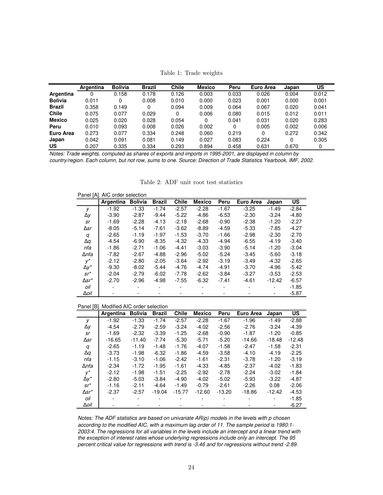|                | Argentina | <b>Bolivia</b> | <b>Brazil</b> | <b>Chile</b> | <b>Mexico</b> | Peru     | Euro Area | Japan | US    |
|----------------|-----------|----------------|---------------|--------------|---------------|----------|-----------|-------|-------|
| Argentina      | 0         | 0.158          | 0.178         | 0.126        | 0.003         | 0.033    | 0.026     | 0.004 | 0.012 |
| <b>Bolivia</b> | 0.011     | 0              | 0.008         | 0.010        | 0.000         | 0.023    | 0.001     | 0.000 | 0.001 |
| <b>Brazil</b>  | 0.358     | 0.149          | 0             | 0.094        | 0.009         | 0.064    | 0.067     | 0.020 | 0.041 |
| <b>Chile</b>   | 0.075     | 0.077          | 0.029         | 0            | 0.006         | 0.080    | 0.015     | 0.012 | 0.011 |
| <b>Mexico</b>  | 0.025     | 0.020          | 0.028         | 0.054        | 0             | 0.041    | 0.031     | 0.020 | 0.283 |
| Peru           | 0.010     | 0.093          | 0.008         | 0.026        | 0.002         | $\Omega$ | 0.005     | 0.002 | 0.006 |
| Euro Area      | 0.273     | 0.077          | 0.334         | 0.248        | 0.060         | 0.219    | 0         | 0.272 | 0.342 |
| Japan          | 0.042     | 0.091          | 0.081         | 0.149        | 0.027         | 0.083    | 0.224     | 0     | 0.305 |
| US             | 0.207     | 0.335          | 0.334         | 0.293        | 0.894         | 0.458    | 0.631     | 0.670 |       |

Table 1: Trade weights

*Notes: Trade weights, computed as shares of exports and imports in 1995-2001, are displayed in column by country/region. Each column, but not row, sums to one. Source: Direction of Trade Statistics Yearbook, IMF, 2002.*

|              | Panel [A]. AIC order selection |                |               |              |               |         |           |          |           |  |  |
|--------------|--------------------------------|----------------|---------------|--------------|---------------|---------|-----------|----------|-----------|--|--|
|              | Argentina                      | <b>Bolivia</b> | <b>Brazil</b> | <b>Chile</b> | <b>Mexico</b> | Peru    | Euro Area | Japan    | <b>US</b> |  |  |
| У            | $-1.92$                        | $-1.33$        | $-1.74$       | $-2.57$      | $-2.28$       | $-1.67$ | $-3.25$   | $-1.49$  | $-2.84$   |  |  |
| $\Delta y$   | $-3.90$                        | $-2.87$        | $-9.44$       | $-5.22$      | $-4.86$       | $-6.53$ | $-2.30$   | $-3.24$  | $-4.80$   |  |  |
| sr           | $-1.69$                        | $-2.28$        | $-4.13$       | $-2.18$      | $-2.68$       | $-0.90$ | $-2.38$   | $-1.20$  | $-2.27$   |  |  |
| $\Delta$ sr  | $-8.05$                        | $-5.14$        | $-7.61$       | $-3.62$      | $-8.89$       | $-4.59$ | $-5.33$   | $-7.85$  | $-4.27$   |  |  |
| q            | $-2.65$                        | $-1.19$        | $-1.97$       | $-1.53$      | $-3.70$       | $-1.66$ | $-2.98$   | $-2.30$  | $-2.70$   |  |  |
| $\Delta q$   | $-4.54$                        | $-6.90$        | $-8.35$       | $-4.32$      | $-4.33$       | $-4.94$ | $-6.55$   | $-4.19$  | $-3.40$   |  |  |
| nfa          | $-1.86$                        | $-2.71$        | $-1.06$       | $-4.41$      | $-3.03$       | $-3.90$ | $-5.14$   | $-1.20$  | $-3.04$   |  |  |
| $\Delta$ nfa | $-7.82$                        | $-2.67$        | $-4.88$       | $-2.96$      | $-5.02$       | $-5.24$ | $-3.45$   | $-5.60$  | $-3.18$   |  |  |
| y*           | $-2.12$                        | $-2.80$        | $-2.05$       | $-3.64$      | $-2.92$       | $-3.19$ | $-3.49$   | $-4.32$  | $-2.65$   |  |  |
| $\Delta y^*$ | $-9.30$                        | $-8.02$        | $-5.44$       | $-4.76$      | $-4.74$       | $-4.91$ | $-3.70$   | $-4.96$  | $-5.42$   |  |  |
| $sr^*$       | $-2.04$                        | $-2.79$        | $-6.02$       | $-7.78$      | $-2.62$       | $-3.84$ | $-3.27$   | $-3.53$  | $-2.53$   |  |  |
| $\Delta$ sr* | $-2.70$                        | $-2.96$        | $-4.98$       | $-7.55$      | $-6.32$       | $-7.41$ | $-4.61$   | $-12.42$ | $-6.57$   |  |  |
| oil          |                                |                |               |              |               |         |           |          | $-1.85$   |  |  |
| $\Delta$ oil |                                |                |               |              |               |         |           |          | $-5.87$   |  |  |

Table 2: ADF unit root test statistics

#### Panel [B]. Modified AIC order selection

|              | Argentina | <b>Bolivia</b> | <b>Brazil</b> | <b>Chile</b> | <b>Mexico</b> | Peru     | <b>Euro Area</b> | Japan    | <b>US</b> |
|--------------|-----------|----------------|---------------|--------------|---------------|----------|------------------|----------|-----------|
| у            | $-1.92$   | $-1.33$        | $-1.74$       | $-2.57$      | $-2.28$       | $-1.67$  | $-1.96$          | $-1.49$  | $-2.88$   |
| $\Delta y$   | $-4.54$   | $-2.79$        | $-2.59$       | $-3.24$      | $-4.02$       | $-2.56$  | $-2.76$          | $-3.24$  | $-4.39$   |
| sr           | $-1.69$   | $-2.32$        | $-3.39$       | $-1.25$      | $-2.68$       | $-0.90$  | $-1.87$          | $-1.20$  | $-0.85$   |
| $\Delta$ sr  | $-16.65$  | $-11.40$       | $-7.74$       | $-5.30$      | $-5.71$       | $-5.20$  | $-14.66$         | $-18.48$ | $-12.48$  |
| q            | $-2.65$   | $-1.19$        | $-1.48$       | $-1.76$      | $-4.07$       | $-1.58$  | $-2.47$          | $-1.58$  | $-2.31$   |
| $\Delta q$   | $-3.73$   | $-1.98$        | $-6.32$       | $-1.86$      | $-4.59$       | $-3.58$  | $-4.10$          | $-4.19$  | $-2.25$   |
| nfa          | $-1.15$   | $-3.10$        | $-1.06$       | $-2.42$      | $-1.61$       | $-2.31$  | $-3.78$          | $-1.20$  | $-3.19$   |
| $\Delta$ nfa | $-2.34$   | $-1.72$        | $-1.95$       | $-1.61$      | $-4.33$       | $-4.85$  | $-2.37$          | $-4.02$  | $-1.83$   |
| $y^*$        | $-2.12$   | $-1.98$        | $-1.51$       | $-2.25$      | $-2.92$       | $-2.78$  | $-2.24$          | $-3.02$  | $-1.84$   |
| $\Delta y^*$ | $-2.80$   | $-5.03$        | $-3.84$       | $-4.90$      | $-4.02$       | $-5.02$  | $-5.93$          | $-3.22$  | $-4.87$   |
| $sr^*$       | $-1.16$   | $-2.11$        | $-4.64$       | $-1.49$      | $-0.79$       | $-2.61$  | $-2.26$          | 0.08     | $-2.06$   |
| $\Delta$ sr* | $-2.37$   | $-2.57$        | $-19.04$      | $-15.77$     | $-12.60$      | $-13.20$ | $-18.86$         | $-12.42$ | $-4.53$   |
| oil          |           |                |               |              |               |          |                  | ۰        | $-1.85$   |
| $\Delta$ oil |           |                |               |              |               |          |                  |          | $-6.27$   |

*Notes: The ADF statistics are based on univariate AR(p) models in the levels with p chosen according to the modified AIC, with a maximum lag order of 11. The sample period is 1980:1- 2003:4. The regressions for all variables in the levels include an intercept and a linear trend with the exception of interest rates whose underlying regressions include only an intercept. The 95 percent critical value for regressions with trend is -3.46 and for regressions without trend -2.89.*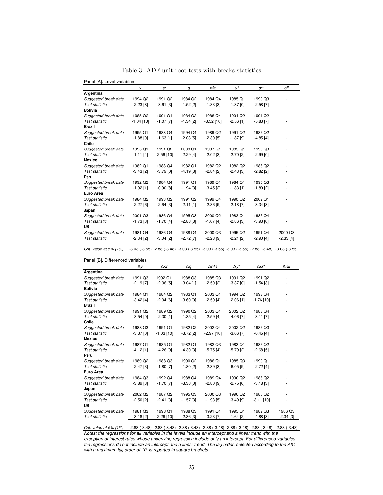Table 3: ADF unit root tests with breaks statistics

| Panel [A]. Level variables |  |  |
|----------------------------|--|--|
|----------------------------|--|--|

|                       | v            | sr                  | q                   | nfa                 | $v^*$       | $sr^*$      | oil        |
|-----------------------|--------------|---------------------|---------------------|---------------------|-------------|-------------|------------|
| Argentina             |              |                     |                     |                     |             |             |            |
| Suggested break date  | 1994 Q2      | 1991 Q2             | 1984 Q2             | 1984 Q4             | 1985 Q1     | 1990 Q3     |            |
| <b>Test statistic</b> | $-2.23$ [8]  | $-3.61$ [3]         | $-1.52$ [2]         | $-1.83$ [3]         | $-1.37$ [0] | $-2.58$ [7] |            |
| <b>Bolivia</b>        |              |                     |                     |                     |             |             |            |
| Suggested break date  | 1985 Q2      | 1991 Q1             | 1984 Q3             | 1988 Q4             | 1994 Q2     | 1994 Q2     |            |
| <b>Test statistic</b> | $-1.04$ [10] | $-1.07$ [7]         | $-1.34$ [2]         | $-3.52$ [10]        | $-2.56$ [1] | $-5.83$ [7] |            |
| <b>Brazil</b>         |              |                     |                     |                     |             |             |            |
| Suggested break date  | 1995 Q1      | 1988 Q4             | 1994 Q4             | 1989 Q2             | 1991 Q2     | 1982 Q2     |            |
| <b>Test statistic</b> | $-1.88$ [0]  | $-1.63$ [1]         | $-2.03$ [5]         | $-2.30$ [5]         | $-1.87$ [9] | $-4.85$ [4] |            |
| Chile                 |              |                     |                     |                     |             |             |            |
| Suggested break date  | 1995 Q1      | 1991 Q <sub>2</sub> | 2003 Q1             | 1987 Q1             | 1985 Q1     | 1990 Q3     |            |
| <b>Test statistic</b> | $-1.11$ [4]  | $-2.56$ [10]        | $-2.29$ [4]         | $-2.02$ [3]         | $-2.70$ [2] | $-2.99$ [0] |            |
| <b>Mexico</b>         |              |                     |                     |                     |             |             |            |
| Suggested break date  | 1982 Q1      | 1988 Q4             | 1982 Q1             | 1982 Q2             | 1982 Q2     | 1986 Q2     |            |
| <b>Test statistic</b> | $-3.43$ [2]  | $-3.79$ [0]         | $-4.19$ [3]         | $-2.84$ [2]         | $-2.43$ [3] | $-2.82$ [2] |            |
| Peru                  |              |                     |                     |                     |             |             |            |
| Suggested break date  | 1992 Q2      | 1984 Q4             | 1991 Q1             | 1989 Q1             | 1984 Q1     | 1990 Q3     |            |
| Test statistic        | $-1.92$ [1]  | $-0.90$ [8]         | $-1.94$ [3]         | $-3.45$ [2]         | $-1.83$ [1] | $-1.80$ [2] |            |
| <b>Euro Area</b>      |              |                     |                     |                     |             |             |            |
| Suggested break date  | 1984 Q2      | 1993 Q <sub>2</sub> | 1991 Q <sub>2</sub> | 1999 Q4             | 1990 Q2     | 2002 Q1     |            |
| <b>Test statistic</b> | $-2.27$ [6]  | $-2.64$ [3]         | $-2.11$ [1]         | $-2.86$ [9]         | $-2.18$ [7] | $-3.34$ [3] |            |
| Japan                 |              |                     |                     |                     |             |             |            |
| Suggested break date  | 2001 Q3      | 1986 Q4             | 1995 Q3             | 2000 Q <sub>2</sub> | 1982 Q1     | 1986 Q4     |            |
| <b>Test statistic</b> | $-1.73$ [3]  | $-1.70$ [4]         | $-2.88$ [3]         | $-1.67$ [4]         | $-2.86$ [3] | $-3.93$ [0] |            |
| US                    |              |                     |                     |                     |             |             |            |
| Suggested break date  | 1981 Q4      | 1986 Q4             | 1988 Q4             | 2000 Q3             | 1995 Q2     | 1991 Q4     | 2000 Q3    |
| Test statistic        | $-2.34$ [2]  | $-3.04$ [2]         | $-2.72$ [7]         | $-2.28$ [9]         | $-2.21$ [2] | $-2.90[4]$  | $-2.33[4]$ |
|                       |              |                     |                     |                     |             |             |            |

*Crit. value at 5% (1%)* -3.03 (-3.55) -2.88 (-3.48) -3.03 (-3.55) -3.03 (-3.55) -3.03 (-3.55) -2.88 (-3.48) -3.03 (-3.55)

Panel [B]. Differenced variables

|                       | Δγ          | $\Delta$ sr  | Δa          | ∆nfa         | $\Delta y^*$ | $\Delta$ sr $^*$ | ∆oil                     |
|-----------------------|-------------|--------------|-------------|--------------|--------------|------------------|--------------------------|
| Argentina             |             |              |             |              |              |                  |                          |
| Suggested break date  | 1991 Q3     | 1992 Q1      | 1988 Q3     | 1985 Q3      | 1991 Q2      | 1991 Q2          |                          |
| Test statistic        | $-2.19$ [7] | $-2.96$ [5]  | $-3.04$ [1] | $-2.50$ [2]  | $-3.37$ [0]  | $-1.54$ [3]      |                          |
| <b>Bolivia</b>        |             |              |             |              |              |                  |                          |
| Suggested break date  | 1984 Q1     | 1984 Q2      | 1983 Q1     | 2003 Q1      | 1994 Q2      | 1993 Q4          | $\overline{\phantom{m}}$ |
| Test statistic        | $-3.42$ [4] | $-2.94$ [6]  | $-3.60$ [0] | $-2.59$ [4]  | $-2.06$ [1]  | $-1.76$ [10]     |                          |
| <b>Brazil</b>         |             |              |             |              |              |                  |                          |
| Suggested break date  | 1991 Q2     | 1989 Q2      | 1990 Q2     | 2003 Q1      | 2002 Q2      | 1988 Q4          |                          |
| Test statistic        | $-3.54$ [0] | $-2.30$ [1]  | $-1.35$ [4] | $-2.59$ [4]  | $-4.06$ [7]  | $-3.11$ [7]      |                          |
| Chile                 |             |              |             |              |              |                  |                          |
| Suggested break date  | 1988 Q3     | 1991 Q1      | 1982 Q2     | 2002 Q4      | 2002 Q2      | 1982 Q3          |                          |
| <b>Test statistic</b> | $-3.37$ [0] | $-1.03$ [10] | $-3.72$ [2] | $-2.97$ [10] | $-3.66$ [7]  | $-6.45$ [4]      |                          |
| Mexico                |             |              |             |              |              |                  |                          |
| Suggested break date  | 1987 Q1     | 1985 Q1      | 1982 Q1     | 1982 Q3      | 1983 Q1      | 1986 Q2          |                          |
| <b>Test statistic</b> | $-4.12$ [1] | $-4.26$ [0]  | $-4.30$ [3] | $-5.75$ [4]  | $-5.79$ [2]  | $-2.68$ [5]      |                          |
| Peru                  |             |              |             |              |              |                  |                          |
| Suggested break date  | 1989 Q2     | 1988 Q3      | 1990 Q2     | 1986 Q1      | 1985 Q3      | 1990 Q1          |                          |
| <b>Test statistic</b> | $-2.47$ [3] | $-1.80$ [7]  | $-1.80$ [2] | $-2.39$ [3]  | $-6.05$ [9]  | $-2.72$ [4]      |                          |
| <b>Euro Area</b>      |             |              |             |              |              |                  |                          |
| Suggested break date  | 1984 Q3     | 1992 Q4      | 1988 Q4     | 1989 Q4      | 1990 Q2      | 1988 Q2          |                          |
| <b>Test statistic</b> | $-3.89$ [3] | $-1.70$ [7]  | $-3.38$ [0] | $-2.80$ [9]  | $-2.75[6]$   | $-3.18$ [3]      |                          |
| Japan                 |             |              |             |              |              |                  |                          |
| Suggested break date  | 2002 Q2     | 1987 Q2      | 1995 Q3     | 2000 Q3      | 1990 Q2      | 1986 Q2          |                          |
| Test statistic        | $-2.50$ [2] | $-2.41$ [3]  | $-1.57$ [3] | $-1.93$ [5]  | $-3.49$ [9]  | $-3.11$ [10]     |                          |
| US                    |             |              |             |              |              |                  |                          |
| Suggested break date  | 1981 Q3     | 1998 Q1      | 1988 Q3     | 1991 Q1      | 1995 Q1      | 1982 Q3          | 1986 Q3                  |
| Test statistic        | $-3.18$ [2] | $-2.29$ [10] | $-2.36$ [3] | $-3.23$ [7]  | $-1.64$ [2]  | $-4.88$ [3]      | $-2.34$ [3]              |

*Crit. value at 5% (1%)* -2.88 (-3.48) -2.88 (-3.48) -2.88 (-3.48) -2.88 (-3.48) -2.88 (-3.48) -2.88 (-3.48) -2.88 (-3.48) *Notes: the regressions for all variables in the levels include an intercept and a linear trend with the exception of interest rates whose underlying regression include only an intercept. For differenced variables the regressions do not include an intercept and a linear trend. The lag order, selected according to the AIC with a maximum lag order of 10, is reported in square brackets.*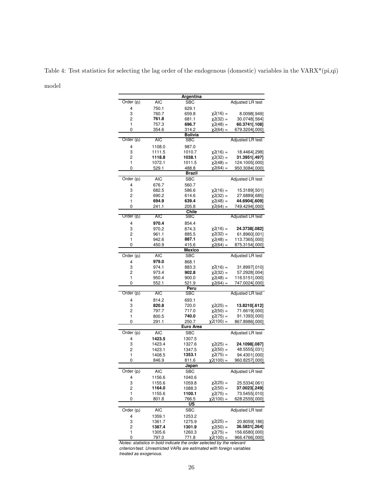Table 4: Test statistics for selecting the lag order of the endogenous (domestic) variables in the VARX\*(pi,qi) model

|                         |            | Argentina    |                 |                  |
|-------------------------|------------|--------------|-----------------|------------------|
| Order (p <sub>i</sub> ) | AIC        | <b>SBC</b>   |                 | Adjusted LR test |
| 4                       | 750.1      | 629.1        |                 |                  |
| 3                       | 760.7      | 659.8        | $\chi$ 2(16) =  | 8.0098[.949]     |
| 2                       | 761.8      | 681.1        | $\chi$ 2(32) =  | 30.0748[.564]    |
| 1                       | 757.3      | 696.7        | $\chi$ 2(48) =  | 60.3741[.108]    |
| 0                       | 354.6      | 314.2        | $\chi$ 2(64) =  | 679.3204[.000]   |
|                         |            | Bolivia      |                 |                  |
| Order (p <sub>i</sub> ) | AIC        | <b>SBC</b>   |                 | Adjusted LR test |
| 4                       | 1108.0     | 987.0        |                 |                  |
| 3                       | 1111.5     | 1010.7       | $\chi$ 2(16) =  | 18.4464[.298]    |
| 2                       | 1118.8     | 1038.1       | $\chi$ 2(32) =  | 31.3951[.497]    |
| 1                       | 1072.1     | 1011.5       | $\chi$ 2(48) =  | 124.1005[.000]   |
| 0                       | 529.1      | 488.8        | $\chi$ 2(64) =  | 950.3084[.000]   |
|                         |            | Brazil       |                 |                  |
| Order (p <sub>i</sub> ) | <b>AIC</b> | <b>SBC</b>   |                 |                  |
|                         |            |              |                 | Adjusted LR test |
| 4                       | 676.7      | 560.7        |                 |                  |
| 3                       | 682.5      | 586.6        | $\chi$ 2(16) =  | 15.3189[.501]    |
| 2                       | 690.2      | 614.6        | $\chi$ 2(32) =  | 27.6889[.685]    |
| 1                       | 694.9      | 639.4        | $\chi$ 2(48) =  | 44.6904[.609]    |
| 0                       | 241.1      | 205.8        | $\chi$ 2(64) =  | 749.4294[.000]   |
|                         |            | Chile        |                 |                  |
| Order (p <sub>i</sub> ) | <b>AIC</b> | SBC          |                 | Adjusted LR test |
| 4                       | 970.4      | 854.4        |                 |                  |
| 3                       | 970.2      | 874.3        | $\chi$ 2(16) =  | 24.3738[.082]    |
| 2                       | 961.1      | 885.5        | $\chi$ 2(32) =  | 61.8960[.001]    |
| 1                       | 942.6      | 887.1        | $\chi$ 2(48) =  | 113.7365[.000]   |
| 0                       | 450.9      | 415.6        | $\chi$ 2(64) =  | 875.3154[.000]   |
|                         |            | Mexico       |                 |                  |
| Order (p <sub>i</sub> ) | AIC        | <b>SBC</b>   |                 | Adjusted LR test |
| 4                       | 979.0      | 868.1        |                 |                  |
| 3                       | 974.1      | 883.3        | $\chi$ 2(16) =  | 31.8997[.010]    |
| 2                       | 973.4      | 902.8        | $\chi$ 2(32) =  | 57.2928[.004]    |
| 1                       | 950.4      | 900.0        | $\chi$ 2(48) =  | 116.5151[.000]   |
| 0                       | 552.1      | 521.9        | $\chi$ 2(64) =  | 747.0024[.000]   |
|                         |            | Peru         |                 |                  |
| Order (p <sub>i</sub> ) | AIC        | <b>SBC</b>   |                 | Adjusted LR test |
| 4                       | 814.2      | 693.1        |                 |                  |
| 3                       | 820.8      | 720.0        | $\chi$ 2(25) =  | 13.8210[.612]    |
| 2                       | 797.7      | 717.0        | $\chi$ 2(50) =  | 71.6619[.000]    |
| 1                       | 800.5      | 740.0        | $\chi$ 2(75) =  | 91.1393[.000]    |
| 0                       | 291.1      | 250.7        | $\chi$ 2(100) = | 867.8986[.000]   |
|                         |            | Euro Area    |                 |                  |
| Order (p <sub>i</sub> ) | AIC        | SBC          |                 | Adjusted LR test |
|                         |            |              |                 |                  |
| 4                       | 1423.5     | 1307.5       |                 |                  |
| 3                       | 1423.4     | 1327.6       | $\chi$ 2(25) =  | 24.1098[.087]    |
| 2                       | 1423.1     | 1347.5       | $\chi$ 2(50) =  | 48.5555[.031]    |
| 1                       | 1408.5     | 1353.1       | $\chi$ 2(75) =  | 94.4301[.000]    |
| 0                       | 846.9      | 811.6        | $\chi$ 2(100) = | 960.8257[.000]   |
|                         |            | <u>Japan</u> |                 |                  |
| Order (p <sub>i</sub> ) | AIC        | <b>SBC</b>   |                 | Adjusted LR test |
| 4                       | 1156.6     | 1040.6       |                 |                  |
| 3                       | 1155.6     | 1059.8       | $\chi$ 2(25) =  | 25.5334[.061]    |
| 2                       | 1164.0     | 1088.3       | $\chi$ 2(50) =  | 37.0023[.249]    |
| 1                       | 1155.6     | 1100.1       | $\chi$ 2(75) =  | 73.5455[.010]    |
| 0                       | 801.8      | 766.5        | $\chi$ 2(100) = | 628.2555[.000]   |
|                         |            | US           |                 |                  |
| Order (p <sub>i</sub> ) | AIC        | SBC          |                 | Adjusted LR test |
| 4                       | 1359.1     | 1253.2       |                 |                  |
| 3                       | 1361.7     | 1275.9       | $\chi$ 2(25) =  | 20.8059[.186]    |
| 2                       | 1367.4     | 1301.9       | $\chi$ 2(50) =  | 36.5831[.264]    |
| 1                       | 1305.6     | 1260.3       | $\chi$ 2(75) =  | 156.6580[.000]   |
|                         |            |              |                 |                  |

0 797.0 771.8  $\chi$ 2(100) = 966.4766[.000] *Notes: statistics in bold indicate the order selected by the relevant criterion/test. Unrestricted VARs are estimated with foreign variables treated as exogenous.*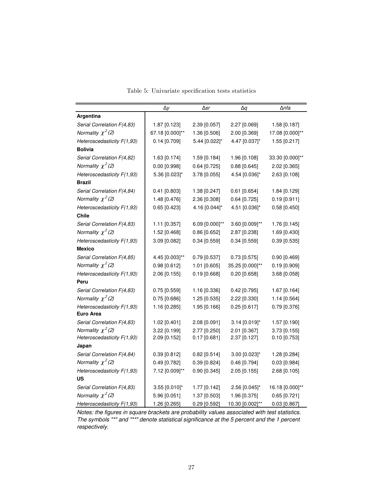|                            | $\Delta y$      | $\Delta$ sr    | $\Delta q$      | ∆nfa            |
|----------------------------|-----------------|----------------|-----------------|-----------------|
| Argentina                  |                 |                |                 |                 |
| Serial Correlation F(4,83) | 1.87 [0.123]    | 2.39 [0.057]   | 2.27 [0.069]    | 1.58 [0.187]    |
| Normality $\chi^2(2)$      | 67.18 [0.000]** | 1.36 [0.506]   | 2.00 [0.369]    | 17.08 [0.000]** |
| Heteroscedasticity F(1,93) | $0.14$ [0.709]  | 5.44 [0.022]*  | 4.47 [0.037]*   | 1.55 [0.217]    |
| <b>Bolivia</b>             |                 |                |                 |                 |
| Serial Correlation F(4,82) | 1.63 [0.174]    | 1.59 [0.184]   | 1.96 [0.108]    | 33.30 [0.000]** |
| Normality $\chi^2$ (2)     | $0.00$ [0.998]  | 0.64 [0.725]   | $0.88$ [0.645]  | 2.02 [0.365]    |
| Heteroscedasticity F(1,93) | 5.36 [0.023]*   | 3.78 [0.055]   | 4.54 [0.036]*   | 2.63 [0.108]    |
| <b>Brazil</b>              |                 |                |                 |                 |
| Serial Correlation F(4,84) | $0.41$ [0.803]  | 1.38 [0.247]   | $0.61$ [0.654]  | 1.84 [0.129]    |
| Normality $\chi^2$ (2)     | 1.48 [0.476]    | 2.36 [0.308]   | $0.64$ [0.725]  | 0.19 [0.911]    |
| Heteroscedasticity F(1,93) | $0.65$ [0.423]  | 4.16 [0.044]*  | 4.51 [0.036]*   | $0.58$ [0.450]  |
| Chile                      |                 |                |                 |                 |
| Serial Correlation F(4,83) | 1.11 [0.357]    | 6.09 [0.000]** | 3.60 [0.009]**  | 1.76 [0.145]    |
| Normality $\chi^2$ (2)     | 1.52 [0.468]    | 0.86 [0.652]   | 2.87 [0.238]    | 1.69 [0.430]    |
| Heteroscedasticity F(1,93) | 3.09 [0.082]    | 0.34 [0.559]   | 0.34 [0.559]    | $0.39$ [0.535]  |
| <b>Mexico</b>              |                 |                |                 |                 |
| Serial Correlation F(4,85) | 4.45 [0.003]**  | 0.79 [0.537]   | $0.73$ [0.575]  | 0.90 [0.469]    |
| Normality $\chi^2$ (2)     | $0.98$ [0.612]  | 1.01 [0.605]   | 35.25 [0.000]** | $0.19$ [0.909]  |
| Heteroscedasticity F(1,93) | 2.06 [0.155]    | 0.19 [0.668]   | $0.20$ [0.658]  | 3.68 [0.058]    |
| Peru                       |                 |                |                 |                 |
| Serial Correlation F(4,83) | $0.75$ [0.559]  | 1.16 [0.336]   | 0.42 [0.795]    | 1.67 [0.164]    |
| Normality $\chi^2$ (2)     | $0.75$ [0.686]  | 1.25 [0.535]   | 2.22 [0.330]    | 1.14 [0.564]    |
| Heteroscedasticity F(1,93) | 1.16 [0.285]    | 1.95 [0.166]   | $0.25$ [0.617]  | 0.79 [0.376]    |
| Euro Area                  |                 |                |                 |                 |
| Serial Correlation F(4,83) | 1.02 [0.401]    | 2.08 [0.091]   | 3.14 [0.019]*   | 1.57 [0.190]    |
| Normality $\chi^2$ (2)     | 3.22 [0.199]    | 2.77 [0.250]   | 2.01 [0.367]    | 3.73 [0.155]    |
| Heteroscedasticity F(1,93) | 2.09 [0.152]    | $0.17$ [0.681] | 2.37 [0.127]    | $0.10$ [0.753]  |
| Japan                      |                 |                |                 |                 |
| Serial Correlation F(4,84) | $0.39$ [0.812]  | $0.82$ [0.514] | 3.00 [0.023]*   | 1.28 [0.284]    |
| Normality $\chi^2$ (2)     | 0.49 [0.782]    | 0.39 [0.824]   | 0.46 [0.794]    | $0.03$ [0.984]  |
| Heteroscedasticity F(1,93) | 7.12 [0.009]**  | 0.90 [0.345]   | 2.05 [0.155]    | 2.68 [0.105]    |
| US                         |                 |                |                 |                 |
| Serial Correlation F(4,83) | 3.55 [0.010]*   | 1.77 [0.142]   | 2.56 [0.045]*   | 16.18 [0.000]** |
| Normality $\chi^2$ (2)     | 5.96 [0.051]    | 1.37 [0.503]   | 1.96 [0.375]    | $0.65$ [0.721]  |
| Heteroscedasticity F(1,93) | 1.26 [0.265]    | 0.29 [0.592]   | 10.30 [0.002]** | $0.03$ [0.867]  |

Table 5: Univariate specification tests statistics

*Notes: the figures in square brackets are probability values associated with test statistics. The symbols "\*" and "\*\*" denote statistical significance at the 5 percent and the 1 percent respectively.*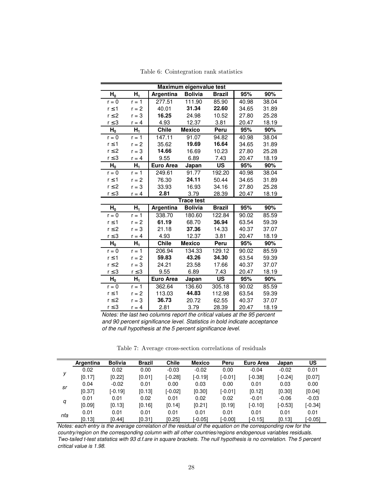| Maximum eigenvalue test |                      |                  |                   |                          |       |       |  |  |  |  |  |
|-------------------------|----------------------|------------------|-------------------|--------------------------|-------|-------|--|--|--|--|--|
| $H_0$                   | $H_1$                | Argentina        | <b>Bolivia</b>    | <b>Brazil</b>            | 95%   | 90%   |  |  |  |  |  |
| $r = 0$                 | $r = 1$              | 277.51           | 111.90            | 85.90                    | 40.98 | 38.04 |  |  |  |  |  |
| $r \leq 1$              | $r = 2$              | 40.01            | 31.34             | 22.60                    | 34.65 | 31.89 |  |  |  |  |  |
| $r \leq 2$              | $r = 3$              | 16.25            | 24.98             | 10.52                    | 27.80 | 25.28 |  |  |  |  |  |
| $r \leq 3$              | $r = 4$              | 4.93             | 12.37             | 3.81                     | 20.47 | 18.19 |  |  |  |  |  |
| $H_0$                   | $H_1$                | Chile            | <b>Mexico</b>     | Peru                     | 95%   | 90%   |  |  |  |  |  |
| $r = 0$                 | $r = 1$              | 147.11           | 91.07             | 94.82                    | 40.98 | 38.04 |  |  |  |  |  |
| $r \leq 1$              | $r = 2$              | 35.62            | 19.69             | 16.64                    | 34.65 | 31.89 |  |  |  |  |  |
| $r \leq 2$              | $r = 3$              | 14.66            | 16.69             | 10.23                    | 27.80 | 25.28 |  |  |  |  |  |
| $r \leq 3$              | $r = 4$              | 9.55             | 6.89              | 7.43                     | 20.47 | 18.19 |  |  |  |  |  |
| $H_0$                   | $\mathbf{\bar{H}}_1$ | <b>Euro Area</b> | Japan             | $\overline{\mathsf{US}}$ | 95%   | 90%   |  |  |  |  |  |
| $r = 0$                 | $r = 1$              | 249.61           | 91.77             | 192.20                   | 40.98 | 38.04 |  |  |  |  |  |
| $r \leq 1$              | $r = 2$              | 76.30            | 24.11             | 50.44                    | 34.65 | 31.89 |  |  |  |  |  |
| $r \leq 2$              | $r = 3$              | 33.93            | 16.93             | 34.16                    | 27.80 | 25.28 |  |  |  |  |  |
| $r \leq 3$              | $r = 4$              | 2.81             | 3.79              | 28.39                    | 20.47 | 18.19 |  |  |  |  |  |
|                         |                      |                  | <b>Trace test</b> |                          |       |       |  |  |  |  |  |
| $H_0$                   | $H_1$                | Argentina        | <b>Bolivia</b>    | <b>Brazil</b>            | 95%   | 90%   |  |  |  |  |  |
| $r = 0$                 | $r = 1$              | 338.70           | 180.60            | 122.84                   | 90.02 | 85.59 |  |  |  |  |  |
| $r \leq 1$              | $r = 2$              | 61.19            | 68.70             | 36.94                    | 63.54 | 59.39 |  |  |  |  |  |
| $r \leq 2$              | $r = 3$              | 21.18            | 37.36             | 14.33                    | 40.37 | 37.07 |  |  |  |  |  |
| $r \leq 3$              | $r = 4$              | 4.93             | 12.37             | 3.81                     | 20.47 | 18.19 |  |  |  |  |  |
| $H_0$                   | $H_1$                | <b>Chile</b>     | <b>Mexico</b>     | Peru                     | 95%   | 90%   |  |  |  |  |  |
| $r = 0$                 | $r = 1$              | 206.94           | 134.33            | 129.12                   | 90.02 | 85.59 |  |  |  |  |  |
| $r \leq 1$              | $r = 2$              | 59.83            | 43.26             | 34.30                    | 63.54 | 59.39 |  |  |  |  |  |
| $r \leq 2$              | $r = 3$              | 24.21            | 23.58             | 17.66                    | 40.37 | 37.07 |  |  |  |  |  |
| $r \leq 3$              | $r \leq 3$           | 9.55             | 6.89              | 7.43                     | 20.47 | 18.19 |  |  |  |  |  |
| $H_0$                   | $H_1$                | <b>Euro Area</b> | Japan             | <b>US</b>                | 95%   | 90%   |  |  |  |  |  |
| $r = 0$                 | $r = 1$              | 362.64           | 136.60            | 305.18                   | 90.02 | 85.59 |  |  |  |  |  |
| $r \leq 1$              | $r = 2$              | 113.03           | 44.83             | 112.98                   | 63.54 | 59.39 |  |  |  |  |  |
| $r \leq 2$              | $r = 3$              | 36.73            | 20.72             | 62.55                    | 40.37 | 37.07 |  |  |  |  |  |
| $r \leq 3$              | $r = 4$              | 2.81             | 3.79              | 28.39                    | 20.47 | 18.19 |  |  |  |  |  |

Table 6: Cointegration rank statistics

*Notes: the last two columns report the critical values at the 95 percent and 90 percent significance level. Statistics in bold indicate acceptance of the null hypothesis at the 5 percent significance level.*

Table 7: Average cross-section correlations of residuals

|     | Argentina | <b>Bolivia</b> | <b>Brazil</b> | Chile     | <b>Mexico</b> | Peru      | <b>Euro Area</b> | Japan     | US        |
|-----|-----------|----------------|---------------|-----------|---------------|-----------|------------------|-----------|-----------|
|     | 0.02      | 0.02           | 0.00          | $-0.03$   | $-0.02$       | 0.00      | $-0.04$          | $-0.02$   | 0.01      |
| у   | [0.17]    | [0.22]         | [0.01]        | $[-0.28]$ | $[-0.19]$     | $[-0.01]$ | $[-0.38]$        | $[-0.24]$ | [0.07]    |
|     | 0.04      | $-0.02$        | 0.01          | 0.00      | 0.03          | 0.00      | 0.01             | 0.03      | 0.00      |
| sr  | [0.37]    | [-0.19]        | [0.13]        | [-0.02]   | [0.30]        | $[-0.01]$ | [0.12]           | [0.30]    | [0.04]    |
|     | 0.01      | 0.01           | 0.02          | 0.01      | 0.02          | 0.02      | $-0.01$          | $-0.06$   | $-0.03$   |
| q   | [0.09]    | [0.13]         | [0.16]        | [0.14]    | [0.21]        | [0.19]    | $[-0.10]$        | $[-0.53]$ | $[-0.34]$ |
| nfa | 0.01      | 0.01           | 0.01          | 0.01      | 0.01          | 0.01      | 0.01             | 0.01      | 0.01      |
|     | [0.13]    | [0.44]         | [0.31]        | [0.25]    | $[-0.05]$     | [-0.00]   | $[-0.15]$        | [0.13]    | [-0.05]   |

*Notes: each entry is the average correlation of the residual of the equation on the corresponding row for the country/region on the corresponding column with all other countries/regions endogenous variables residuals. Two-tailed t-test statistics with 93 d.f.are in square brackets. The null hypothesis is no correlation. The 5 percent critical value is 1.98.*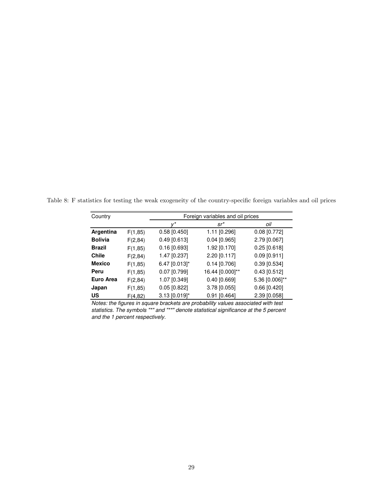Table 8: F statistics for testing the weak exogeneity of the country-specific foreign variables and oil prices

| Country        |          |                 | Foreign variables and oil prices |                |
|----------------|----------|-----------------|----------------------------------|----------------|
|                |          |                 | $sr^*$                           | oil            |
| Argentina      | F(1, 85) | $0.58$ [0.450]  | 1.11 [0.296]                     | $0.08$ [0.772] |
| <b>Bolivia</b> | F(2,84)  | $0.49$ [0.613]  | $0.04$ [0.965]                   | 2.79 [0.067]   |
| <b>Brazil</b>  | F(1, 85) | $0.16$ [0.693]  | 1.92 [0.170]                     | $0.25$ [0.618] |
| Chile          | F(2,84)  | 1.47 [0.237]    | 2.20 [0.117]                     | $0.09$ [0.911] |
| <b>Mexico</b>  | F(1, 85) | 6.47 [0.013]*   | $0.14$ [0.706]                   | 0.39 [0.534]   |
| Peru           | F(1, 85) | $0.07$ [0.799]  | 16.44 [0.000]**                  | $0.43$ [0.512] |
| Euro Area      | F(2,84)  | 1.07 [0.349]    | $0.40$ [0.669]                   | 5.36 [0.006]** |
| Japan          | F(1, 85) | $0.05$ [0.822]  | 3.78 [0.055]                     | $0.66$ [0.420] |
| US             | F(4, 82) | $3.13$ [0.019]* | 0.91 [0.464]                     | 2.39 [0.058]   |

*Notes: the figures in square brackets are probability values associated with test statistics. The symbols "\*" and "\*\*" denote statistical significance at the 5 percent and the 1 percent respectively.*